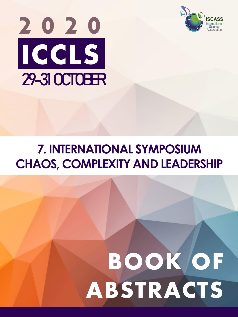



# **7. INTERNATIONAL SYMPOSIUM CHAOS, COMPLEXITY AND LEADERSHIP**

# **BOOK OF ABSTRACTS**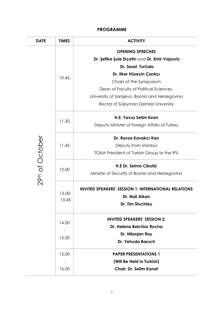# **PROGRAMME**

| <b>DATE</b>     | <b>TIMES</b>    | <b>ACTIVITY</b>                                             |
|-----------------|-----------------|-------------------------------------------------------------|
|                 |                 | <b>OPENING SPEECHES</b>                                     |
|                 |                 | Dr. Şefika Şule Erçetin and Dr. Emir Vajzovic               |
|                 |                 | Dr. Sead Turčalo                                            |
|                 | 10.45           | Dr. Ilker Hüseyin Çarıkçı                                   |
|                 |                 | Chairs of the Symposium                                     |
|                 |                 | Dean of Faculty of Political Sciences,                      |
|                 |                 | University of Sarajevo, Bosnia and Herzegovina              |
|                 |                 | Rector of Süleyman Demirel University                       |
|                 |                 | H.E. Yavuz Selim Kıran                                      |
|                 | 11.30           | Deputy Minister of Foreign Affairs of Turkey                |
|                 |                 | Dr. Ravza Kavakcı Kan                                       |
|                 | 11.45           | Deputy from Istanbul                                        |
|                 |                 | TGNA President of Turkish Group to the IPU                  |
|                 | 12.00           | H.E Dr. Selmo Cikołić                                       |
| 29th of October |                 | Minister of Security of Bosnia and Herzegovina              |
|                 |                 | <b>INVITED SPEAKERS' SESSION 1: INTERNATIONAL RELATIONS</b> |
|                 | 13.00-<br>13.45 | Dr. Nail Alkan                                              |
|                 |                 | Dr. Tim Stuchtey                                            |
|                 |                 | <b>INVITED SPEAKERS' SESSION 2:</b>                         |
|                 | 14.00           | Dr. Helena Belchior Rocha                                   |
|                 | 15.00           | Dr. Nilanjan Ray                                            |
|                 |                 | Dr. Yehuda Baruch                                           |
|                 | 15.00           | <b>PAPER PRESENTATIONS 1</b>                                |
|                 |                 | (Will Be Held in Turkish)                                   |
|                 | 16.00           | <b>Chair: Dr. Selim Kanat</b>                               |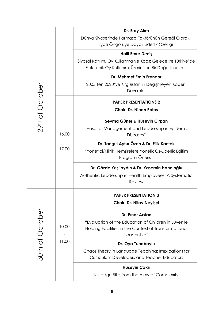|                 |                | Dr. Eray Alım                                                                                                                |
|-----------------|----------------|------------------------------------------------------------------------------------------------------------------------------|
|                 |                | Dünya Siyasetinde Karmaşa Faktörünün Gereği Olarak<br>Siyasi Öngörüye Dayalı Liderlik Özelliği                               |
|                 |                | <b>Halil Emre Deniş</b>                                                                                                      |
|                 |                | Siyasal Katılım, Oy Kullanma ve Kaos: Gelecekte Türkiye'de<br>Elektronik Oy Kullanımı Üzerinden Bir Değerlendirme            |
|                 |                | Dr. Mehmet Emin Erendor                                                                                                      |
|                 |                | 2005'ten 2020'ye Kırgızistan'ın Değişmeyen Kaderi:<br>Devrimler                                                              |
|                 |                | <b>PAPER PRESENTATIONS 2</b>                                                                                                 |
| 29th of October | 16.00<br>17.00 | <b>Chair: Dr. Nihan Potas</b>                                                                                                |
|                 |                | Şeyma Güner & Hüseyin Çırpan                                                                                                 |
|                 |                | "Hospital Management and Leadership in Epidemic<br>Diseases"                                                                 |
|                 |                | Dr. Tangül Aytur Özen & Dr. Filiz Kantek                                                                                     |
|                 |                | "Yönetici/Klinik Hemşirelere Yönelik Öz-Liderlik Eğitim<br>Programi Önerisi"                                                 |
|                 |                | Dr. Gözde Yeşilaydın & Dr. Yasemin Hancıoğlu                                                                                 |
|                 |                | Authentic Leadership in Health Employees: A Systematic<br>Review                                                             |
|                 |                | <b>PAPER PRESENTATION 3</b>                                                                                                  |
|                 | 10.00<br>11.00 | Chair: Dr. Nilay Neyişçi                                                                                                     |
| 30th of October |                | Dr. Pinar Arslan                                                                                                             |
|                 |                | "Evaluation of the Education of Children in Juvenile<br>Holding Facilities in The Context of Transformational<br>Leadership" |
|                 |                | Dr. Oya Tunaboylu                                                                                                            |
|                 |                | Chaos Theory in Language Teaching: Implications for<br>Curriculum Developers and Teacher Educators                           |
|                 |                | Hüseyin Çakır                                                                                                                |
|                 |                | Kutadgu Bilig from the View of Complexity                                                                                    |
|                 |                |                                                                                                                              |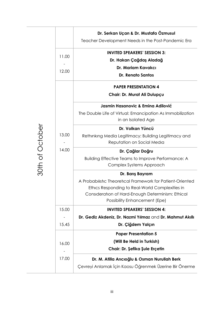|                 |                | Dr. Serkan Uçan & Dr. Mustafa Özmusul<br>Teacher Development Needs in the Post-Pandemic Era                                                                                                                                    |
|-----------------|----------------|--------------------------------------------------------------------------------------------------------------------------------------------------------------------------------------------------------------------------------|
|                 | 11.00<br>12.00 | <b>INVITED SPEAKERS' SESSION 3:</b><br>Dr. Hakan Çağdaş Aladağ<br>Dr. Mariam Kavakcı<br><b>Dr. Renato Santos</b>                                                                                                               |
|                 |                | <b>PAPER PRESENTATION 4</b><br>Chair: Dr. Murat Ali Dulupçu                                                                                                                                                                    |
|                 |                | Jasmin Hasanovic & Emina Adilović<br>The Double Life of Virtual: Emancipation As Immobilization<br>in an Isolated Age                                                                                                          |
| 30th of October | 13.00          | Dr. Volkan Yüncü<br>Rethinking Media Legitimacy: Building Legitimacy and<br>Reputation on Social Media                                                                                                                         |
|                 | 14.00          | Dr. Çağlar Doğru<br>Building Effective Teams to Improve Performance: A<br>Complex Systems Approach                                                                                                                             |
|                 |                | Dr. Barış Bayram<br>A Probabilistic Theoretical Framework for Patient-Oriented<br>Ethics Responding to Real-World Complexities in<br>Consideration of Hard-Enough Determinism: Ethical<br><b>Possibility Enhancement (Epe)</b> |
|                 | 15.00          | <b>INVITED SPEAKERS' SESSION 4:</b>                                                                                                                                                                                            |
|                 | 15.45          | Dr. Gediz Akdeniz, Dr. Nazmi Yılmaz and Dr. Mahmut Akıllı<br>Dr. Çiğdem Yalçın                                                                                                                                                 |
|                 | 16.00          | <b>Paper Presentation 5</b><br>(Will Be Held in Turkish)<br>Chair: Dr. Şefika Şule Erçetin                                                                                                                                     |
|                 | 17.00          | Dr. M. Atilla Arıcıoğlu & Osman Nurullah Berk<br>Çevreyi Anlamak İçin Kaosu Öğrenmek Üzerine Bir Önerme                                                                                                                        |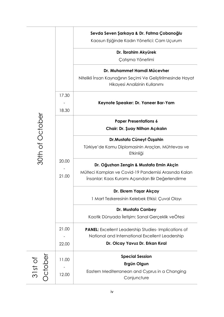|                    |       | Sevda Seven Şarkaya & Dr. Fatma Çobanoğlu<br>Kaosun Eşiğinde Kadın Yönetici: Cam Uçurum                    |
|--------------------|-------|------------------------------------------------------------------------------------------------------------|
|                    |       | Dr. İbrahim Akyürek                                                                                        |
|                    |       | Çatışma Yönetimi                                                                                           |
|                    |       | Dr. Muhammet Hamdi Mücevher                                                                                |
|                    |       | Nitelikli İnsan Kaynağının Seçimi Ve Geliştirilmesinde Hayat<br>Hikayesi Analizinin Kullanımı              |
|                    | 17.30 |                                                                                                            |
|                    |       | Keynote Speaker: Dr. Yaneer Bar-Yam                                                                        |
|                    | 18.30 |                                                                                                            |
| 30th of October    | 20.00 | <b>Paper Presentations 6</b>                                                                               |
|                    |       | Chair: Dr. Şuay Nilhan Açıkalın                                                                            |
|                    |       | Dr.Mustafa Cüneyt Özşahin                                                                                  |
|                    |       | Türkiye'de Kamu Diplomasinin Araçları, Mühtevası ve<br>Etkinliği                                           |
|                    |       | Dr. Oğuzhan Zengin & Mustafa Emin Akçin                                                                    |
|                    | 21.00 | Mülteci Kampları ve Covid-19 Pandemisi Arasında Kalan<br>Insanlar: Kaos Kuramı Açısından Bir Değerlendirme |
|                    |       | Dr. Ekrem Yaşar Akçay                                                                                      |
|                    |       | 1 Mart Tezkeresinin Kelebek Etkisi: Çuval Olayı                                                            |
|                    |       | Dr. Mustafa Canbey                                                                                         |
|                    |       | Kaotik Dünyada İletişim: Sanal Gerçeklik veÖtesi                                                           |
|                    | 21.00 | <b>PANEL:</b> Excellent Leadership Studies-Implications of                                                 |
|                    |       | National and International Excellent Leadership                                                            |
|                    | 22.00 | Dr. Olcay Yavuz Dr. Erkan Kıral                                                                            |
|                    | 11.00 | <b>Special Session</b>                                                                                     |
|                    |       | Ergün Olgun                                                                                                |
| 31st of<br>October | 12.00 | Eastern Mediterranean and Cyprus in a Changing<br>Conjuncture                                              |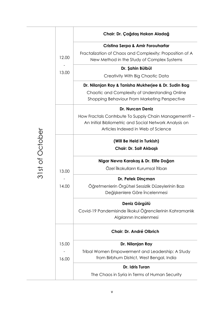|       | Chair: Dr. Çağdaş Hakan Aladağ                                                                                                                        |
|-------|-------------------------------------------------------------------------------------------------------------------------------------------------------|
|       | <b>Cristina Serpa &amp; Amir Forouharfar</b>                                                                                                          |
| 12.00 | Fractalization of Chaos and Complexity: Proposition of A<br>New Method in the Study of Complex Systems                                                |
|       | Dr. Şahin Bülbül                                                                                                                                      |
| 13.00 | Creativity With Big Chaotic Data                                                                                                                      |
|       | Dr. Nilanjan Ray & Tanisha Mukherjee & Dr. Sudin Bag                                                                                                  |
|       | Chaotic and Complexity of Understanding Online<br>Shopping Behaviour From Marketing Perspective                                                       |
|       | <b>Dr. Nurcan Deniz</b>                                                                                                                               |
|       | How Fractals Contribute To Supply Chain Management? -<br>An Initial Bibliometric and Social Network Analysis on<br>Articles Indexed in Web of Science |
|       | (Will Be Held in Turkish)                                                                                                                             |
|       | Chair: Dr. Sait Akbaşlı                                                                                                                               |
|       | Nigar Nevra Karakaş & Dr. Elife Doğan                                                                                                                 |
| 13.00 | Özel İlkokulların Kurumsal İtibarı                                                                                                                    |
|       | Dr. Petek Dinçman                                                                                                                                     |
| 14.00 | Öğretmenlerin Örgütsel Sessizlik Düzeylerinin Bazı<br>Değişkenlere Göre İncelenmesi                                                                   |
|       | Deniz Görgülü                                                                                                                                         |
|       | Covid-19 Pandemisinde İlkokul Öğrencilerinin Kahramanlık<br>Algılarının Incelenmesi                                                                   |
|       | Chair: Dr. André Olbrich                                                                                                                              |
| 15.00 | Dr. Nilanjan Ray                                                                                                                                      |
|       | Tribal Women Empowerment and Leadership: A Study                                                                                                      |
| 16.00 | from Birbhum District, West Bengal, India                                                                                                             |
|       | Dr. Idris Turan                                                                                                                                       |
|       | The Chaos in Syria in Terms of Human Security                                                                                                         |

31st of October 31st of October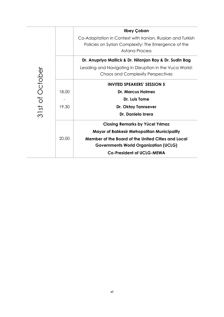|                 |       | Ilbey Çoban                                                |
|-----------------|-------|------------------------------------------------------------|
|                 |       | Co-Adaptation in Context with Iranian, Russian and Turkish |
|                 |       | Policies on Syrian Complexity: The Emergence of the        |
|                 |       | Astana Process                                             |
|                 |       | Dr. Anupriyo Mallick & Dr. Nilanjan Ray & Dr. Sudin Bag    |
|                 |       | Leading and Navigating in Disruption in the Vuca World:    |
|                 |       | <b>Chaos and Complexity Perspectives</b>                   |
| 31st of October |       | <b>INVITED SPEAKERS' SESSION 5</b>                         |
|                 | 18.00 | <b>Dr. Marcus Holmes</b>                                   |
|                 |       | Dr. Luis Tome                                              |
|                 | 19.30 | Dr. Oktay Tanrisever                                       |
|                 |       | Dr. Daniela Irrera                                         |
|                 |       | <b>Closing Remarks by Yücel Yılmaz</b>                     |
|                 |       | <b>Mayor of Balıkesir Metropolitan Municipality</b>        |
|                 | 20.00 | Member of the Board of the United Cities and Local         |
|                 |       | <b>Governments World Organization (UCLG)</b>               |
|                 |       | <b>Co-President of UCLG-MEWA</b>                           |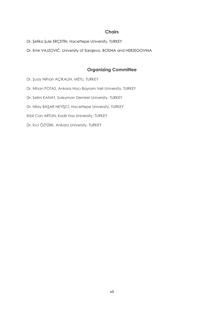#### **Chairs**

Dr. Şefika Şule ERÇETİN, Hacettepe University, TURKEY

Dr. Emir VAJZOVIĆ, University of Sarajevo, BOSNIA and HERZEGOVINA

# **Organizing Committee**

Dr. Şuay Nilhan AÇIKALIN, METU, TURKEY Dr. Nihan POTAS, Ankara Hacı Bayram Veli University, TURKEY Dr. Selim KANAT, Suleyman Demirel University, TURKEY Dr. Nilay BAŞAR NEYİŞCİ, Hacettepe University, TURKEY Erbil Can ARTUN, Kadir Has University, TURKEY Dr. İnci ÖZTÜRK, Ankara University, TURKEY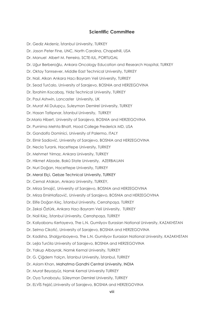#### **Scientific Committee**

Dr. Gediz Akdeniz, İstanbul University, TURKEY Dr. Jason Peter Fine, UNC, North Carolina, Chapelhill, USA Dr. Manuel Albert M. Ferreira, SCTE-IUL, PORTUGAL Dr. Uğur Berberoğlu, Ankara Oncology Education and Research Hospital, TURKEY Dr. Oktay Tanrısever, Middle East Technical University, TURKEY Dr. Nail. Alkan Ankara Hacı Bayram Veli University, TURKEY Dr. Sead Turćalo, University of Sarajevo, BOSNIA and HERZEGOVINA Dr. İbrahim Kocabaş, Yıldız Technical University, TURKEY Dr. Paul Ashwin, Lancaster University, UK Dr. Murat Ali Dulupçu, Suleyman Demirel University, TURKEY Dr. Hasan Tatlıpınar, İstanbul University, TURKEY Dr.Mario Hibert, University of Sarajevo, BOSNIA and HERZEGOVINA Dr. Purnima Mehta Bhatt, Hood College Frederick MD, USA Dr. Gandolfo Dominici, University of Palermo, ITALY Dr. Elmir Sadiović, University of Sarajevo, BOSNIA and HERZEGOVINA Dr. Necla Turanlı, Hacettepe University, TURKEY Dr. Mehmet Yılmaz, Ankara University, TURKEY Dr. Hikmet Alizade, Bakû State University, AZERBAIJAN Dr. Nuri Doğan, Hacettepe University, TURKEY Dr. Meral Elçi, Gebze Technical University, TURKEY Dr. Cemal Atakan, Ankara University, TURKEY, Dr. Mirza Smajić, University of Sarajevo, BOSNIA and HERZEGOVINA Dr. Mirza EmirHafizović, University of Sarajevo, BOSNIA and HERZEGOVINA Dr. Elife Doğan Kılıç, İstanbul University, Cerrahpaşa, TURKEY Dr. Zekai Öztürk, Ankara Hacı Bayram Veli University, TURKEY Dr. Nail Kılıç, İstanbul University, Cerrahpaşa, TURKEY Dr. Kaliyabanu Kertayeva, The L.N. Gumilyov Eurasian National University, KAZAKHSTAN Dr. Selma Cikotić, University of Sarajevo, BOSNIA and HERZEGOVINA Dr. Kadisha, Shalgynbayeva, The L.N. Gumilyov Eurasian National University, KAZAKHSTAN Dr. Lejla Turćila University of Sarajevo, BOSNIA and HERZEGOVINA Dr. Yakup Albayrak, Namık Kemal University, TURKEY Dr. G. Çiğdem Yalçın, İstanbul University, İstanbul, TURKEY Dr. Aslam Khan, Mahatma Gandhi Central University, INDIA Dr. Murat Beyazyüz, Namık Kemal University TURKEY Dr. Oya Tunaboylu, Süleyman Demirel University, TURKEY Dr. ELVİS Fejzić,University of Sarajevo, BOSNIA and HERZEGOVINA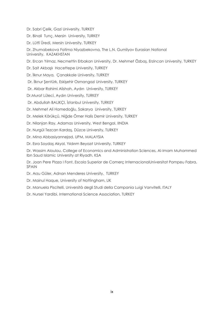- Dr. Sabri Çelik, Gazi University, TURKEY
- Dr. Binali Tunç, Mersin University, TURKEY
- Dr. Lütfi Üredi, Mersin University, TURKEY
- Dr. Zhumabekova Fatima Niyazbekovna, The L.N. Gumilyov Eurasian National University, KAZAKHSTAN
- Dr. Ercan Yılmaz, Necmettin Erbakan University, Dr. Mehmet Özbaş, Erzincan University, TURKEY
- Dr. Sait Akbaşlı Hacettepe University, TURKEY
- Dr. İlknur Maya, Çanakkale University, TURKEY
- Dr. İlknur Şentürk, Eskişehir Osmangazi University, TURKEY
- Dr. Akbar Rahimi Alishah, Aydın University, TURKEY
- Dr.Murat Lüleci, Aydın University, TURKEY
- Dr. Abdullah BALIKÇI, İstanbul University, TURKEY
- Dr. Mehmet Ali Hamedoğlu, Sakarya University, TURKEY
- Dr. Melek Körükçü, Niğde Ömer Halis Demir University, TURKEY
- Dr. Nilanjan Ray, Adamas University, West Bengal, IINDIA
- Dr. Nurgül Tezcan Kardaş, Düzce University, TURKEY
- Dr. Mina Abbasiyannejad, UPM, MALAYSIA
- Dr. Esra Soydaş Akyol, Yıldırım Beyazıt University, TURKEY

Dr. Wassim Aloulou, College of Economics and Administration Sciences, Al-Imam Muhammed Ibn Saud Islamic University at Riyadh, KSA

Dr. Joan Pere Plaza I Font, Escola Superior de Comerç InternacionalUniversitat Pompeu Fabra, SPAIN

- Dr. Arzu Güler, Adnan Menderes University, TURKEY
- Dr. Mainul Haque, University of Nottingham, UK
- Dr. Manuela Piscitelli, Università degli Studi della Campania Luigi Vanvitelli, ITALY
- Dr. Nursel Yardibi, International Science Association, TURKEY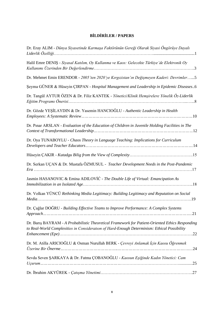# **BİLDİRİLER / PAPERS**

| Dr. Eray ALIM - Dünya Siyasetinde Karmaşa Faktörünün Gereği Olarak Siyasi Öngörüye Dayalı                                                                                                      |
|------------------------------------------------------------------------------------------------------------------------------------------------------------------------------------------------|
| Halil Emre DENIŞ - Siyasal Katılım, Oy Kullanma ve Kaos: Gelecekte Türkiye'de Elektronik Oy                                                                                                    |
| Dr. Mehmet Emin ERENDOR - 2005'ten 2020'ye Kırgızistan'ın Değişmeyen Kaderi: Devrimler5                                                                                                        |
| Şeyma GÜNER & Hüseyin ÇIRPAN - Hospital Management and Leadership in Epidemic Diseases6                                                                                                        |
| Dr. Tangül AYTUR ÖZEN & Dr. Filiz KANTEK - Yönetici/Klinik Hemşirelere Yönelik Öz-Liderlik                                                                                                     |
| Dr. Gözde YEŞİLAYDIN & Dr. Yasemin HANCIOĞLU - Authentic Leadership in Health                                                                                                                  |
| Dr. Pinar ARSLAN - Evaluation of the Education of Children in Juvenile Holding Facilities in The                                                                                               |
| Dr. Oya TUNABOYLU - Chaos Theory in Language Teaching: Implications for Curriculum                                                                                                             |
|                                                                                                                                                                                                |
| Dr. Serkan UÇAN & Dr. Mustafa ÖZMUSUL - Teacher Development Needs in the Post-Pandemic                                                                                                         |
| Jasmin HASANOVIC & Emina ADILOVIC - The Double Life of Virtual: Emancipation As                                                                                                                |
| Dr. Volkan YÜNCÜ Rethinking Media Legitimacy: Building Legitimacy and Reputation on Social                                                                                                     |
| Dr. Çağlar DOĞRU - Building Effective Teams to Improve Performance: A Complex Systems<br>.21                                                                                                   |
| Dr. Barış BAYRAM - A Probabilistic Theoretical Framework for Patient-Oriented Ethics Responding<br>to Real-World Complexities in Consideration of Hard-Enough Determinism: Ethical Possibility |
| Dr. M. Atilla ARICIOĞLU & Osman Nurullah BERK - Çevreyi Anlamak İçin Kaosu Öğrenmek                                                                                                            |
| Sevda Seven ŞARKAYA & Dr. Fatma ÇOBANOĞLU - Kaosun Eşiğinde Kadın Yönetici: Cam                                                                                                                |
|                                                                                                                                                                                                |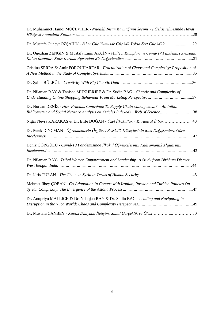| Dr. Muhammet Hamdi MÜCEVHER - Nitelikli İnsan Kaynağının Seçimi Ve Geliştirilmesinde Hayat                                                                              |
|-------------------------------------------------------------------------------------------------------------------------------------------------------------------------|
| Dr. Mustafa Cüneyt ÖZŞAHİN - Siber Güç Yumuşak Güç Mü Yoksa Sert Güç Mü?29                                                                                              |
| Dr. Oğuzhan ZENGİN & Mustafa Emin AKÇİN - Mülteci Kampları ve Covid-19 Pandemisi Arasında                                                                               |
| Cristina SERPA & Amir FOROUHARFAR - Fractalization of Chaos and Complexity: Proposition of                                                                              |
|                                                                                                                                                                         |
| Dr. Nilanjan RAY & Tanisha MUKHERJEE & Dr. Sudin BAG - Chaotic and Complexity of<br>Understanding Online Shopping Behaviour From Marketing Perspective37                |
| Dr. Nurcan DENIZ - How Fractals Contribute To Supply Chain Management? - An Initial<br>Bibliometric and Social Network Analysis on Articles Indexed in Web of Science38 |
| Nigar Nevra KARAKAŞ & Dr. Elife DOĞAN - Özel İlkokulların Kurumsal İtibarı40                                                                                            |
| Dr. Petek DİNÇMAN - Öğretmenlerin Örgütsel Sessizlik Düzeylerinin Bazı Değişkenlere Göre                                                                                |
| Deniz GÖRGÜLÜ - Covid-19 Pandemisinde İlkokul Öğrencilerinin Kahramanlık Algılarının                                                                                    |
| Dr. Nilanjan RAY- Tribal Women Empowerment and Leadership: A Study from Birbhum District,                                                                               |
|                                                                                                                                                                         |
| Mehmet Ilbey ÇOBAN - Co-Adaptation in Context with Iranian, Russian and Turkish Policies On                                                                             |
| Dr. Anupriyo MALLICK & Dr. Nilanjan RAY & Dr. Sudin BAG - Leading and Navigating in                                                                                     |
| Dr. Mustafa CANBEY - Kaotik Dünyada İletişim: Sanal Gerçeklik ve Ötesi50                                                                                                |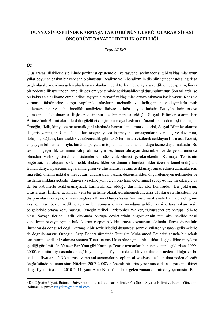# **DÜNYA SİYASETİNDE KARMAŞA FAKTÖRÜNÜN GEREĞİ OLARAK SİYASİ ÖNGÖRÜYE DAYALI LİDERLİK ÖZELLİĞİ**

*Eray ALIM<sup>1</sup>*

# *Öz*

Uluslararası İlişkiler disiplininde pozitivist epistemoloji ve rasyonel seçim teorisi gibi yaklaşımlar uzun yıllar boyunca baskın bir yere sahip olmuştur. Realizm ve Liberalizm'in disiplin içinde taşıdığı ağırlığa bağlı olarak, meydana gelen uluslararası olayların ve aktörlerin bu olaylara verdikleri cevapların, lineer bir nedensellik üzerinden, ampirik gözlem yöntemiyle açıklanabileceği düşünülmüştür. Son yıllarda ise bu bakış açısını ikame etme iddiası taşıyan alternatif yaklaşımlar ortaya çıkmaya başlamıştır. Kaos ve karmaşa faktörlerine vurgu yapılarak, olayların mekanik ve indirgemeci yaklaşımlarla izah edilemeyeceği ve daha incelikli analizlere ihtiyaç olduğu kaydedilmiştir. Bu yönelimin ortaya çıkmasında, Uluslararası İlişkiler disiplinin de bir parçası olduğu Sosyal Bilimler alanın Fen Bilimi/Canlı Bilimi alanı ile daha güçlü etkileşim kurmaya başlaması önemli bir neden teşkil etmiştir. Örneğin, fizik, kimya ve matematik gibi alanlarda başvurulan karmaşa teorisi, Sosyal Bilimler alanına da giriş yapmıştır. Canlı özellikleri taşıyan ya da taşımayan formasyonların var oluş ve devamını, dolaşım, bağlantı, karmaşıklık ve düzensizlik gibi faktörlerinin altı çizilerek açıklayan Karmaşa Teorisi, en yaygın bilinen tanımıyla, bütünün parçaların toplamdan daha fazla olduğu tezine dayanmaktadır. Bu tezin bir geçerlilik zeminine sahip olması için ise, lineer olmayan dinamikler ve denge durumunda olmadan varlık gösterebilen sistemlerden söz edilebilmesi gerekmektedir. Karmaşa Teorisinin öngörüsü, varoluşun beklenmedik ilişkisellikler ve dinamik hareketlilikler üzerine temellendiğidir. Bunun dünya siyasetinin ilgi alanına giren ve uluslararası yaşamı açıklamayı amaç edinen uzmanlar için ima ettiği önemli noktalar mevcuttur. Uluslararası yaşam, düzensizlikler, öngörülemeyen gelişmeler ve rastlantısallıklara gebedir; dünya siyasetine yön veren olayların determinist sebep-sonuç ilişkileriyle ya da ön kabullerle açıklanamayacak karmaşıklıkta olduğu durumlar söz konusudur. Bu yaklaşım, Uluslararası İlişkiler açısından yeni bir gelişme olarak görülmemelidir. Zira Uluslararası İlişkilerin bir disiplin olarak ortaya çıkmasını sağlayan Birinci Dünya Savaşı'nın, sistematik analizlerin iddia ettiğinin aksine, nasıl beklenmedik olayların bir sonucu olarak meydana geldiği yeni ortaya çıkan arşiv belgeleriyle ortaya konulmuştur. Örneğin tarihçi Christopher Walker, "Uyurgezerler: Avrupa 1914'te Nasıl Savaşa İlerledi" adlı kitabında Avrupa devletlerinin öngörülerinin tam aksi şekilde nasıl kendilerini savaşın içinde bulduklarını çarpıcı şekilde ortaya koymuştur. Aslında dünya siyasetinin lineer ya da döngüsel değil, karmaşık bir seyir izlediği düşüncesi sonraki yıllarda yaşanan gelişmelerle de doğrulanmıştır. Örneğin, Arap Baharı sürecinde Tunus'ta Muhammed Bouazizi adında bir sokak satıcısının kendisini yakması sonucu Tunus'ta nasıl kısa süre içinde bir iktidar değişikliğine meydana geldiği görülmüştür. Yaneer Bar-Yam gibi Karmaşa Teorisi uzmanları bunun nedenini açıklarken, 1999- 2000'de emtia piyasasında deregülasyonun gıda fiyatlarında ciddi volatilitelere neden olduğu ve bu nedenle fiyatlarda 2-3 kat artışa varan ani sıçramaların toplumsal ve siyasal çalkantılara neden olacağı öngörüsünde bulunmuştur. Nitekim 2007-2008'de önemli bir artış yaşanmışsa da asıl patlama ikinci dalga fiyat artışı olan 2010-2011; yani Arab Baharı'na denk gelen zaman diliminde yaşanmıştır. Bar-

<sup>1</sup> Dr. Öğretim Üyesi, Batman Üniversitesi, İktisadi ve İdari Bilimler Fakültesi, Siyaset Bilimi ve Kamu Yönetimi Bölümü, E-posta: [erayalim@hotmail.com](mailto:erayalim@hotmail.com)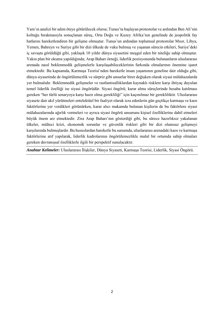Yam'ın analizi bir adım öteye götürülecek olursa; Tunus'ta başlayan protestolar ve ardından Ben Ali'nin koltuğu bırakmasıyla sonuçlanan süreç, Orta Doğu ve Kuzey Afrika'nın genelinde de jeopolitik fay hatlarını hareketlendiren bir gelişme olmuştur. Tunus'un ardından toplumsal protestolar Mısır, Libya, Yemen, Bahreyn ve Suriye gibi bir dizi ülkede de vuku bulmuş ve yaşanan sürecin etkileri, Suriye'deki iç savaşta görüldüğü gibi, yaklaşık 10 yıldır dünya siyasetini meşgul eden bir niteliğe sahip olmuştur. Yakın plan bir okuma yapıldığında; Arap Baharı örneği, liderlik pozisyonunda bulunanların uluslararası arenada nasıl beklenmedik gelişmelerle karşılaşabileceklerinin farkında olmalarının önemine işaret etmektedir. Bu kapsamda, Karmaşa Teorisi'nden hareketle insan yaşamının geneline dair olduğu gibi, dünya siyasetinde de öngörülemezlik ve sürpriz gibi unsurlar birer değişken olarak siyasi mülahazalarda yer bulmalıdır. Beklenmedik gelişmeler ve rastlantısallıklardan kaynaklı risklere karşı ihtiyaç duyulan temel liderlik özelliği ise siyasi öngörüdür. Siyasi öngörü; karar alma süreçlerinde hesaba katılması gereken "her türlü senaryoya karşı hazır olma gerekliliği" için kaçınılmaz bir gerekliliktir. Uluslararası siyasete dair akıl yürütmeleri entelektüel bir faaliyet olarak icra edenlerin gün geçtikçe karmaşa ve kaos faktörlerine yer verdikleri görünürken, karar alıcı makamda bulunan kişilerin de bu faktörlere siyasi mülahazalarında ağırlık vermeleri ve ayrıca siyasi öngörü unsurunu kişisel özelliklerine dahil etmeleri büyük önem arz etmektedir. Zira Arap Baharı'nın gösterdiği gibi, bu sürece hazırlıksız yakalanan ülkeler, mülteci krizi, ekonomik sorunlar ve güvenlik riskleri gibi bir dizi olumsuz gelişmeyi karşılarında bulmuşlardır. Bu hususlardan hareketle bu sunumda, uluslararası arenadaki kaos ve karmaşa faktörlerine atıf yapılarak, liderlik kadrolarının öngörülemezlikle malul bir ortamda sahip olmaları gereken davranışsal özelliklerle ilgili bir perspektif sunulacaktır.

*Anahtar Kelimeler:* Uluslararası İlişkiler, Dünya Siyaseti, Karmaşa Teorisi, Liderlik, Siyasi Öngörü.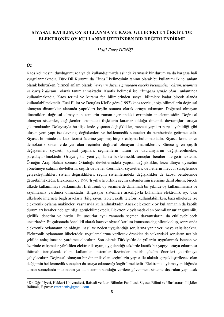# **SİYASAL KATILIM, OY KULLANMA VE KAOS: GELECEKTE TÜRKİYE'DE ELEKTRONİK OY KULLANIMI ÜZERİNDEN BİR DEĞERLENDİRME**

*Halil Emre DENİŞ<sup>1</sup>*

# *Öz*

Kaos kelimesini duyduğumuzda ya da kullandığımızda aslında karmaşık bir durum ya da kargaşa hali vurgulanmaktadır. Türk Dil Kurumu da *"kaos"* kelimesinin tanımı olarak bu kullanımı ikinci anlam olarak belirtirken, birincil anlam olarak *"evrenin düzene girmeden önceki biçiminden yoksun, uyumsuz ve karışık durum"* olarak tanımlanmaktadır. Kaotik kelimesi ise *"kargaşa içinde olan"* anlamında kullanılmaktadır. Kaos terimi ve kuramı fen bilimlerinden sosyal bilimlere kadar birçok alanda kullanılabilmektedir. Euel Elliot ve Douglas Kiel'e göre (1997) kaos teorisi, doğa bilimcilerin doğrusal olmayan dinamikler alanında yaptıkları keşfin sonucu olarak ortaya çıkmıştır. Doğrusal olmayan dinamikler, doğrusal olmayan sistemlerin zaman içerisindeki evriminin incelenmesidir. Doğrusal olmayan sistemler, değişkenler arasındaki ilişkilerin kararsız olduğu dinamik davranışları ortaya çıkarmaktadır. Dolayısıyla bu ilişkilerde yaşanan değişiklikler, mevcut yapıları parçalayabildiği gibi oluşan yeni yapı ise davranış değişkenleri ve beklenmedik sonuçları da beraberinde getirmektedir. Siyaset biliminde de kaos teorisi üzerine yapılmış birçok çalışma bulunmaktadır. Siyasal konular ve demokratik sistemlerde yer alan seçimler doğrusal olmayan dinamiklerdir. Sürece giren çeşitli değişkenler, siyaseti, siyasal yapıları, seçmenlerin tutum ve davranışlarını değiştirebilmekte, parçalayabilmektedir. Ortaya çıkan yeni yapılar da beklenmedik sonuçları beraberinde getirmektedir. Örneğin Arap Baharı sonrası Ortadoğu devletlerindeki yapısal değişiklikler; keza dünya siyasetini yönetmeye çalışan devletlerin, çeşitli devletler üzerindeki siyasetleri; devletlerin mevcut süreçlerinde gerçekleştirdikleri sistem değişiklikleri, seçim sistemlerindeki değişiklikler de kaosu beraberinde getirebilmektedir. Elektronik oy 1990'lı yıllarla birlikte seçim sistemlerinin içerisine dâhil olmuş, birçok ülkede kullanılmaya başlanmıştır. Elektronik oy seçimlerde daha hızlı bir şekilde oy kullanılmasına ve sayılmasına yardımcı olmaktadır. Bilgisayar sistemleri aracılığıyla kullanılan elektronik oy, bazı ülkelerde internete bağlı araçlarla (bilgisayar, tablet, akıllı telefon) kullanılabilirken, bazı ülkelerde ise elektronik oylama makineleri vasıtasıyla kullanılmaktadır. Ancak elektronik oy kullanmanın da kaotik durumları beraberinde getirdiği görülebilmektedir. Elektronik oylamadaki en önemli unsurlar güvenlik, gizlilik, denetim ve hızdır. Bu unsurlar aynı zamanda seçmen davranışlarını da etkileyebilecek unsurlardır. Bu çalışmada öncelikli olarak kaos ve siyasal katılım konusuna değinilecek olup, sonrasında elektronik oylamanın ne olduğu, nasıl ve neden uygulandığı sorularına yanıt verilmeye çalışılacaktır. Elektronik oylamanın ülkelerdeki uygulamalarına verilecek örnekler de yukarıdaki soruların net bir şekilde anlaşılmasına yardımcı olacaktır. Son olarak Türkiye'de de yıllardır uygulanmak istenen ve üzerinde çalışmalar yürütülen elektronik oyun, uygulandığı takdirde kaotik bir yapıyı ortaya çıkarması ihtimali tartışılacak olup, kullanılan sistemler üzerinden belirli çözüm önerileri getirilmeye çalışılacaktır. Doğrusal olmayan bir dinamik olan seçimlerin yapısı ile alakalı gerçekleştirilecek olan değişimin beklenmedik sonuçları da ortaya çıkaracağı öngörülmektedir. Elektronik oylama yapıldığında alınan sonuçlarda makinanın ya da sistemin sunduğu verilere güvenmek, sisteme dışarıdan yapılacak

<sup>1</sup> Dr. Öğr. Üyesi, Hakkari Üniversitesi, İktisadi ve İdari Bilimler Fakültesi, Siyaset Bilimi ve Uluslararası İlişkiler Bölümü, E-posta: [emredenis@gmail.com](mailto:emredenis@gmail.com)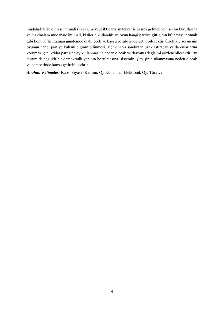müdahalelerin olması ihtimali (hack), mevcut iktidarların tekrar iş başına gelmek için seçim kurullarına ve makinalara müdahale ihtimali, kişilerin kullandıkları oyun hangi partiye gittiğinin bilinmesi ihtimali gibi konular her zaman gündemde olabilecek ve kaosu beraberinde getirebilecektir. Özellikle seçmenin oyunun hangi partiye kullanıldığının bilinmesi, seçmeni ya sandıktan uzaklaştıracak ya da çıkarlarını korumak için iktidar partisine oy kullanmasına neden olacak ve davranış değişimi gözlenebilecektir. Bu durum da sağlıklı bir demokratik yapının bozulmasına, sistemin işleyişinin tıkanmasına neden olacak ve beraberinde kaosu getirebilecektir.

*Anahtar Kelimeler:* Kaos, Siyasal Katılım, Oy Kullanma, Elektronik Oy, Türkiye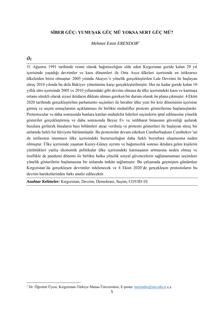# **SİBER GÜÇ: YUMUŞAK GÜÇ MÜ YOKSA SERT GÜÇ MÜ?**

*Mehmet Emin ERENDOR<sup>1</sup>*

#### *Öz*

31 Ağustos 1991 tarihinde resmi olarak bağımsızlığını elde eden Kırgızistan geride kalan 29 yıl içerisinde yaşadığı devrimler ve kaos dönemleri ile Orta Asya ülkeleri içerisinde en istikrarsız ülkelerden birisi olmuştur. 2005 yılında Akayev'e yönelik gerçekleştirilen Lale Devrimi ile başlayan süreç 2010 yılında bu defa Bakiyev yönetimine karşı gerçekleştirilmiştir. Her ne kadar geride kalan 10 yıllık süre içerisinde 2005 ve 2010 yıllarındaki gibi devrim olmasa da ülke içerisindeki kaos ve karmaşa ortamı sürekli olarak siyasi iktidarın dikkate alması gereken bir durum olarak ön plana çıkmıştır. 4 Ekim 2020 tarihinde gerçekleştirilen parlamento seçimleri ile beraber ülke yeni bir kriz döneminin içerisine girmiş ve seçim sonuçlarının açıklanması ile birlikte muhalifler protesto gösterilerine başlamışlardır. Protestocular ve daha sonrasında bunlara katılan muhalefet liderleri seçimlerin iptal edilmesine yönelik gösteriler gerçekleştirmiş ve daha sonrasında Beyaz Ev ve istihbarat binasının güvenliği aşılarak buralara girilerek binaların bazı bölümleri ateşe verilmiş ve protesto gösterileri ile başlayan süreç bir anlamda farklı bir hüviyete bürünmüştür. Bu protestolar devam ederken Cumhurbaşkanı Ceenbekov'un da istifasının istenmesi ülke içerisindeki huzursuzluğun daha farklı boyutlara ulaşmasına neden olmuştur. Ülke içerisinde yaşanan Kuzey-Güney ayrımı ve bağımsızlık sonrası iktidara gelen kişilerin yürüttükleri yanlış ekonomik politikalar ülke içerisindeki karmaşanın artmasına neden olmuş ve özellikle de pandemi dönemi ile birlikte halka yönelik sosyal güvencelerin sağlanamaması seçimlere yönelik gösterilerin başlamasına bir anlamda imkân sağlamıştır. Bu çalışmada geçmişten günümüze Kırgızistan'da gerçekleşen devrimler irdelenecek ve 4 Ekim 2020'de gerçekleşen protestoların bu devrim hareketlerinden farkı analiz edilecektir.

*Anahtar Kelimeler:* Kırgızistan, Devrim, Demokrasi, Seçim, COVID-19.

<sup>&</sup>lt;sup>1</sup> Dr. Öğretim Üyesi, Kırgızistan-Türkiye Manas Üniversitesi, E-posta[: merendor@atu.edu.tr](mailto:merendor@atu.edu.tr) ç.ş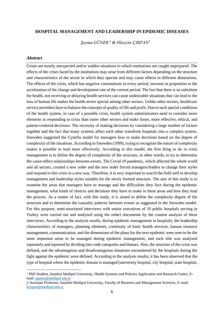#### **HOSPITAL MANAGEMENT AND LEADERSHIP IN EPIDEMIC DISEASES**

*Şeyma GÜNER <sup>1</sup> & Hüseyin ÇIRPAN<sup>2</sup>*

#### *Abstract*

Crises are mostly unexpected and/or sudden situations in which institutions are caught unprepared. The effects of the crises faced by the institutions may arise from different factors depending on the structure and characteristics of the sector in which they operate and may cause effects in different dimensions. The effects of the crisis, which has negative connotations in every period, increase in proportion to the acceleration of the change and development rate of the current period. The fact that there is no substitute for health, not receiving or delaying health services can cause undesirable situations that can lead to the loss of human life makes the health sector special among other sectors. Unlike other sectors, healthcare service providers have to balance the concepts of quality of life and profit. Due to such special conditions of the health system, in case of a possible crisis, health system administrators need to consider more elements in responding to crisis than some other sectors and make faster, more effective, ethical, and patient-centered decisions. The necessity of making decisions by considering a large number of factors together and the fact that many systems affect each other transform hospitals into a complex system. Snowden suggested the Cynefin model for managers how to make decisions based on the degree of complexity of the situations. According to Snowden (1999), trying to recognize the nature of complexity makes it possible to lead more effectively. According to this model, the first thing to do in crisis management is to define the degree of complexity of the structure, in other words, to try to determine the cause-effect relationships between events. The Covid-19 pandemic, which affected the whole world and all sectors, created a new order and the new order forced managers/leaders to change their styles and respond to this crisis in a new way. Therefore, it is very important to search the field well to develop management and leadership styles suitable for the newly formed structure. The aim of this study is to examine the areas that managers have to manage and the difficulties they face during the epidemic management, what kinds of choices and decisions they have to make in these areas and how they lead the process. As a matter of fact, with this study, it is aimed to define the complexity degree of the structure and to determine the causality patterns between events as suggested in the Snowden model. For this purpose, semi-structured interviews with senior executives of 10 public hospitals serving in Turkey were carried out and analyzed using the redact documents by the content analysis of these interviews. According to the analysis results, during epidemic management in hospitals; the leadership characteristics of managers, planning elements, continuity of basic health services, human resource management, communication, and the dimensions of the plans for the next epidemic were seen to be the most important areas to be managed during epidemic management, and each title was analyzed separately and reported by dividing into code-categories and themes. Also, the structure of the crisis was defined, and the advantageous and disadvantageous situations encountered by the hospitals during the fight against the epidemic were defined. According to the analysis results; it has been observed that the type of hospital where the epidemic disease is managed (university hospital, city hospital, state hospital,

<sup>&</sup>lt;sup>1</sup> PhD Student, Istanbul Medipol University, Health Systems and Policies Application and Research Center, Email: [sguner@medipol.edu.tr](mailto:sguner@medipol.edu.tr)

<sup>2</sup> Assistant Professor, Istanbul Medipol University, Faculty of Business and Management Sciences, E-mail: [hcirpan@medipol.edu.tr](mailto:hcirpan@medipol.edu.tr)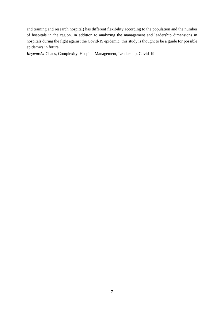and training and research hospital) has different flexibility according to the population and the number of hospitals in the region. In addition to analyzing the management and leadership dimensions in hospitals during the fight against the Covid-19 epidemic, this study is thought to be a guide for possible epidemics in future.

*Keywords:* Chaos, Complexity, Hospital Management, Leadership, Covid-19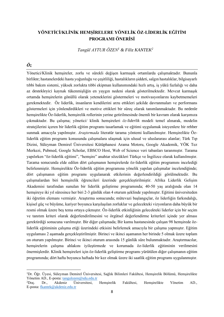# **YÖNETİCİ/KLİNİK HEMŞİRELERE YÖNELİK ÖZ-LİDERLİK EĞİTİM PROGRAMI ÖNERİSİ**

*Tangül AYTUR ÖZEN<sup>1</sup> & Filiz KANTEK<sup>2</sup>*

# *Öz*

Yönetici/Klinik hemşireler, zorlu ve sürekli değişen karmaşık ortamlarda çalışmaktadır. Bununla birlikte; hastanelerdeki hasta yoğunluğu ve çeşitliliği, hastalıkların şiddeti, salgın hastalıklar, bilgisayarlı tıbbi bakım sistemi, yüksek zorlukta tıbbi ekipman kullanımındaki hızlı artış, iş yükü fazlalığı ve daha az destekleyici kaynak tükenmişliğin en yaygın nedeni olarak gösterilmektedir. Mevcut karmaşık ortamda hemşirelerin gönüllü olarak yeteneklerini göstermeleri ve motivasyonlarını kaybetmemeleri gerekmektedir. Öz liderlik, insanların kendilerini arzu ettikleri şekilde davranmaları ve performans göstermeleri için yönlendirdikleri ve motive ettikleri bir süreç olarak tanımlanmaktadır. Bu nedenle hemşirelikte Öz-liderlik, hemşirelik rollerinin yerine getirilmesinde önemli bir kavram olarak karşımıza çıkmaktadır. Bu çalışma; yönetici/ klinik hemşireleri *öz-liderlik* modeli temel alınarak, modelin stratejilerini içeren bir liderlik eğitim programı tasarlamak ve eğitimi uygulamak isteyenlere bir rehber sunmak amacıyla yapılmıştır. *Araştırmada* literatür tarama yöntemi kullanılmıştır. Hemşirelikte Özliderlik eğitim programı konusunda çalışmalara ulaşmak için ulusal ve uluslararası alanlar; Türk Tıp Dizini, Süleyman Demirel Üniversitesi Kütüphanesi Arama Motoru, Google Akademik, YÖK Tez Merkezi, Pubmed, Google Scholar, EBSCO Host, Web of Science veri tabanları taranmıştır. Tarama yapılırken "öz-liderlik eğitimi", "hemşire" anahtar sözcükleri Türkçe ve İngilizce olarak kullanılmıştır. Tarama sonucunda elde edilen dört çalışmanın hemşirelerde öz-liderlik eğitim programını incelediği belirlenmiştir. Hemşirelikte Öz-liderlik eğitim programına yönelik yapılan çalışmalar incelendiğinde; dört çalışmanın eğitim programı uygulanarak etkilerinin değerlendirildiği görülmektedir. Bu çalışmalardan biri hemşirelik öğrencileri üzerinde gerçekleştirilmiştir. Afrika Liderlik Gelişim Akademisi tarafından sunulan bir liderlik geliştirme programında; 40-50 yaş aralığında olan 14 hemşireye iki yıl süresince her biri 2-3 günlük olan 4 oturum şeklinde yapılmıştır. Eğitimi üniversiteden iki öğretim elemanı vermiştir. Araştırma sonucunda; mütevazi başlangıçlar, öz liderliğin farkındalığı, kişisel güç ve büyüme, kariyer boyunca karşılaşılan zorluklar ve gelecekteki vizyonların daha büyük bir resmi olmak üzere beş tema ortaya çıkmıştır. Öz-liderlik etkinliğinin gelecekteki liderler için bir seçim ve tanıtım kriteri olarak değerlendirilmesini ve örgütsel değerlendirme kriterleri içinde yer alması gerektirdiği sonucuna varılmıştır. Bir diğer çalışmada; Bir kamu hastanesinde çalışan 98 hemşirede özliderlik eğitiminin çalışma etiği üzerindeki etkisini belirlemek amacıyla bir çalışma yapmıştır. Eğitim uygulaması 2 aşamada gerçekleştirilmiştir. Birinci ve ikinci aşamanın her birinde 5 olmak üzere toplam on oturum yapılmıştır. Birinci ve ikinci oturum arasında 15 günlük süre bulunmaktadır. Araştırmacılar, hemşirelerin çalışma ahlakını iyileştirmede ve korumada öz-liderlik eğitiminin verilmesini önermişlerdir. Klinik hemşireleri için öz-liderlik geliştirme programı yürütülen diğer çalışmanın eğitim programında; dört hafta boyunca haftada bir kez olmak üzere iki saatlik eğitim programı uygulanmıştır.

<sup>1</sup>Dr. Öğr. Üyesi, Süleyman Demirel Üniversitesi, Sağlık Bilimleri Fakültesi, Hemşirelik Bölümü, Hemşirelikte Yönetim AD., E-posta: [tangulozen@sdu.edu.tr](mailto:tangulozen@sdu.edu.tr)

<sup>2</sup>Doç. Dr., Akdeniz Üniversitesi, Hemşirelik Fakültesi, Hemşirelikte Yönetim AD., E-posta: [fkantek@akdeniz.edu.tr](mailto:fkantek@akdeniz.edu.tr)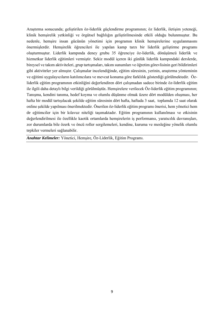Araştırma sonucunda; geliştirilen öz-liderlik güçlendirme programının; öz liderlik, iletişim yeteneği, klinik hemşirelik yetkinliği ve örgütsel bağlılığın geliştirilmesinde etkili olduğu bulunmuştur. Bu nedenle, hemşire insan gücünün yönetimi için programın klinik hemşirelerine uygulanmasını önermişlerdir. Hemşirelik öğrencileri ile yapılan kamp tarzı bir liderlik geliştirme programı oluşturmuştur. Liderlik kampında deney grubu 35 öğrenciye öz-liderlik, dönüşümcü liderlik ve hizmetkar liderlik eğitimleri vermiştir. Sekiz modül içeren iki günlük liderlik kampındaki derslerde, bireysel ve takım aktiviteleri, grup tartışmaları, takım sunumları ve öğretim görevlisinin geri bildirimleri gibi aktiviteler yer almıştır. Çalışmalar incelendiğinde, eğitim süresinin, yerinin, araştırma yönteminin ve eğitimi uygulayıcıların katılımcılara ve mevcut konuma göre farklılık gösterdiği görülmektedir. Özliderlik eğitim programının etkinliğini değerlendiren dört çalışmadan sadece birinde öz-liderlik eğitim ile ilgili daha detaylı bilgi verildiği görülmüştür*.* Hemşirelere verilecek Öz-liderlik eğitim programının; Tanışma, kendini tanıma, hedef koyma ve olumlu düşünme olmak üzere dört modülden oluşması, her hafta bir modül tartışılacak şekilde eğitim süresinin dört hafta, haftada 3 saat, toplamda 12 saat olarak online şekilde yapılması önerilmektedir. Önerilen öz-liderlik eğitim programı önerisi, hem yönetici hem de eğitimciler için bir kılavuz niteliği taşımaktadır. Eğitim programının kullanılması ve etkisinin değerlendirilmesi ile özellikle kaotik ortamlarda hemşirelerin iş performansı, yaratıcılık davranışları, zor durumlarda bile özerk ve öncü roller sergilemeleri, kendine, kuruma ve mesleğine yönelik olumlu tepkiler vermeleri sağlanabilir.

*Anahtar Kelimeler:* Yönetici, Hemşire, Öz-Liderlik, Eğitim Programı.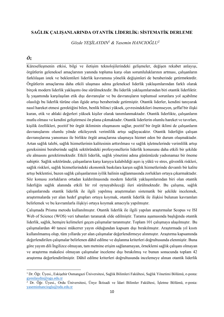#### **SAĞLIK ÇALIŞANLARINDA OTANTİK LİDERLİK: SİSTEMATİK DERLEME**

*Gözde YEŞİLAYDIN<sup>1</sup> & Yasemin HANCIOĞLU<sup>2</sup>*

#### *Öz*

Küreselleşmenin etkisi, bilgi ve iletişim teknolojilerindeki gelişmeler, değişen rekabet anlayışı, örgütlerin geleneksel amaçlarının yanında topluma karşı olan sorumluluklarının artması, çalışanların farklılaşan istek ve beklentileri liderlik kavramına yönelik değişimleri de beraberinde getirmektedir. Örgütlerin amaçlarına daha etkili ulaşması adına geleneksel liderlik yaklaşımlarından farklı olarak birçok modern liderlik yaklaşımı öne sürülmektedir. Bu liderlik yaklaşımlarından biri otantik liderliktir. İş yaşamında karşılaşılan etik dışı davranışlar ve bu davranışların toplumsal sorunlara yol açabilme olasılığı bu liderlik türüne olan ilgide artışı beraberinde getirmiştir. Otantik liderler, kendini tanıyarak nasıl hareket etmesi gerektiğini bilen, benlik bilinci yüksek, çevresindekileri önemseyen, şeffaf bir ilişki kuran, etik ve ahlaki değerleri yüksek kişiler olarak tanımlanmaktadır. Otantik liderlikte, çalışanların mutlu olması ve kendini geliştirmesi ön plana çıkmaktadır. Otantik liderlerin olumlu hareket ve tavırları, kişilik özellikleri, pozitif bir örgüt ikliminin oluşmasını sağlar, pozitif bir örgüt iklimi de çalışanların davranışlarını olumlu yönde etkileyerek verimlilik artışı sağlayacaktır. Otantik liderliğin çalışan davranışlarına yansıması ile birlikte örgüt amaçlarına ulaşmaya hizmet eden bir durum oluşmaktadır. Artan sağlık talebi, sağlık hizmetlerinin kalitesinin arttırılması ve sağlık işletmelerinde verimlilik artışı gereksinimi beraberinde sağlık sektöründeki profesyonellerin liderlik konusunu daha etkili bir şekilde ele almasını gerektirmektedir. Etkili liderlik, sağlık yönetimi adına günümüzde yadsınamaz bir öneme sahiptir. Sağlık sektöründe, çalışanların karşı karşıya kalabildiği aşırı iş yükü ve stres, güvenlik riskleri, sağlık riskleri, sağlık hizmetlerindeki ekonomik baskılara karşın sağlık hizmetlerinde devamlı bir kalite artışı beklentisi, bazen sağlık çalışanlarının iyilik halinin sağlanmasında zorlukları ortaya çıkarmaktadır. Söz konusu zorlukların ortadan kaldırılmasında modern liderlik yaklaşımlarından biri olan otantik liderliğin sağlık alanında etkili bir rol oynayabileceği ileri sürülmektedir. Bu çalışma, sağlık çalışanlarında otantik liderlik ile ilgili yapılmış araştırmaları sistematik bir şekilde incelemek, araştırmalarda yer alan hedef grupları ortaya koymak, otantik liderlik ile ilişkisi bulunan kavramları belirlemek ve bu kavramlarla ilişkiyi ortaya koymak amacıyla yapılmıştır.

Çalışmada Prisma metodu kullanılmıştır. Otantik liderlik ile ilgili yapılan araştırmalar Scopus ve ISI Web of Science (WOS) veri tabanları taranarak elde edilmiştir. Tarama aşamasında başlığında otantik liderlik, sağlık, hemşire kelimeleri geçen çalışmalar taranmıştır. Toplam 101 çalışmaya ulaşılmıştır. Bu çalışmalardan 40 tanesi mükerrer yayın olduğundan kapsam dışı bırakılmıştır. Araştırmada yıl kısıtı kullanılmamış olup, tüm yıllarda yer alan çalışmalar değerlendirmeye alınmıştır. Araştırma kapsamında değerlendirilen çalışmalar belirlenen dâhil edilme ve dışlanma kriterleri doğrultusunda elenmiştir. Buna göre yayım dili İngilizce olmayan, tam metnine erişim sağlanamayan, örneklemi sağlık çalışanı olmayan ve araştırma makalesi olmayan çalışmalar inceleme dışı bırakılmış ve bunun sonucunda toplam 42 araştırma değerlendirilmiştir. Dâhil edilme kriterleri doğrultusunda incelemeye alınan otantik liderlik

<sup>1</sup> Dr. Öğr. Üyesi., Eskişehir Osmangazi Üniversitesi, Sağlık Bilimleri Fakültesi, Sağlık Yönetimi Bölümü, e-posta: [gyesilaydin@ogu.edu.tr](mailto:gyesilaydin@ogu.edu.tr)

<sup>&</sup>lt;sup>2</sup> Dr. Öğr. Üyesi., Ordu Üniversitesi, Ünye İktisadi ve İdari Bilimler Fakültesi, İsletme Bölümü, e-posta: [yaseminhancioglu@odu.edu.tr](mailto:yaseminhancioglu@odu.edu.tr)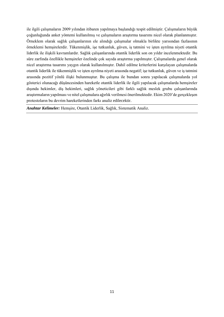ile ilgili çalışmaların 2009 yılından itibaren yapılmaya başlandığı tespit edilmiştir. Çalışmaların büyük çoğunluğunda anket yöntemi kullanılmış ve çalışmaların araştırma tasarımı nicel olarak planlanmıştır. Örneklem olarak sağlık çalışanlarının ele alındığı çalışmalar olmakla birlikte yarısından fazlasının örneklemi hemşirelerdir. Tükenmişlik, işe tutkunluk, güven, iş tatmini ve işten ayrılma niyeti otantik liderlik ile ilişkili kavramlardır. Sağlık çalışanlarında otantik liderlik son on yıldır incelenmektedir. Bu süre zarfında özellikle hemşireler özelinde çok sayıda araştırma yapılmıştır. Çalışmalarda genel olarak nicel araştırma tasarımı yaygın olarak kullanılmıştır. Dahil edilme kriterlerini karşılayan çalışmalarda otantik liderlik ile tükenmişlik ve işten ayrılma niyeti arasında negatif; işe tutkunluk, güven ve iş tatmini arasında pozitif yönlü ilişki bulunmuştur. Bu çalışma ile bundan sonra yapılacak çalışmalarda yol gösterici olunacağı düşüncesinden hareketle otantik liderlik ile ilgili yapılacak çalışmalarda hemşireler dışında hekimler, diş hekimleri, sağlık yöneticileri gibi farklı sağlık meslek grubu çalışanlarında araştırmaların yapılması ve nitel çalışmalara ağırlık verilmesi önerilmektedir. Ekim 2020'de gerçekleşen protestoların bu devrim hareketlerinden farkı analiz edilecektir.

*Anahtar Kelimeler:* Hemşire, Otantik Liderlik, Sağlık, Sistematik Analiz.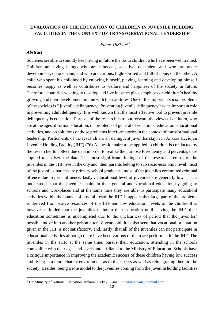# **EVALUATION OF THE EDUCATION OF CHILDREN IN JUVENILE HOLDING FACILITIES IN THE CONTEXT OF TRANSFORMATIONAL LEADERSHIP**

#### *Pınar ARSLAN <sup>1</sup>*

#### *Abstract*

Societies are able to soundly keep living in future thanks to children who have been well trained. Children are living beings who are innocent, sensitive, dependent and who are under development, on one hand, and who are curious, high-spirited and full of hope, on the other. A child who spent his childhood by enjoying himself, playing, learning and developing himself becomes happy as well as contributes to welfare and happiness of the society in future. Therefore, countries wishing to develop and live in peace place emphasis on children's healthy growing and their development in line with their abilities. One of the important social problems of the socieies is " juvenile delinquency" Preventing juvenile delinquency has an important role in preventing adult deliquency. It is well known that the most effective tool to prevent juvenile delinquency is education. Purpose of the research is to put forward the views of childern, who are at the ages of formal education, on problems of general of vocational education, educational activities, and on solutions of those problems in reformatories in the context of transformational leadership. Participants of the research are all delinguent juveniles stayin in Ankara Keçiören Juvenile Holding Facility (JHF) (76) A questionnaire to be applied to children is conducted by the researcher to collect due data in order to realize the purpose Frrequency and percentage are applied to analyze the data. The most significant findings of the research aremost of the juveniles in the JHF live in the city and their parents belong to sub socio-economic level; most of the juveniles'parents are primary school graduates; most of the juveniles committed criminal offence due to peer influence; lastly , educational level of juveniles are generally low. It is understood that the juveniles maintain their general and vocational education by going to schools and workplaces and at the same time they are able to participate many educationl activities within the bounds of possibilitesof the JHF. It appears that large part of the problems is derived from scarce resources of the JHF and low educationl levels of the childrenIt is however unfolded that the juveniles maintain their education until leaving the JHF, their education sometimes is uncompleted due to the unclearness of period that the juveniles' possible move into another prison after 18 years old. It is also seen that vocational orientation given in the JHF is not satisfactory, and, lastly, that all of the juveniles can not participate in educational activities although there have been various of them are performed in the JHF. The juveniles in the JHF, at the same time, pursue their education, attending in the schools compatible with their ages and levels and affiliated to the Ministry of Education. Schools have a critique importance in improving the academic success of these children having low success and living in a more chaotic environment as to their peers as well as reintegrating them to the society. Besides, being a role model to the juveniles coming from the juvenile holding facilities

<sup>&</sup>lt;sup>1</sup> Dr. Ministry of National Education, Ankara, Turkey, E-mail: [pinararslan44@hotmail.com](mailto:pinararslan44@hotmail.com)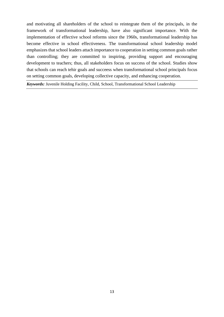and motivating all shareholders of the school to reintegrate them of the principals, in the framework of transformational leadership, have also significant importance. With the implementation of effective school reforms since the 1960s, transformational leadership has become effective in school effectiveness. The transformational school leadership model emphasizes that school leaders attach importance to cooperation in setting common goals rather than controlling; they are committed to inspiring, providing support and encouraging development to teachers; thus, all stakeholders focus on success of the school. Studies show that schools can reach tehir goals and succeess when transformational school principals focus on setting common goals, developing collective capacity, and enhancing cooperation.

*Keywords:* Juvenile Holding Facility, Child, School, Transformational School Leadership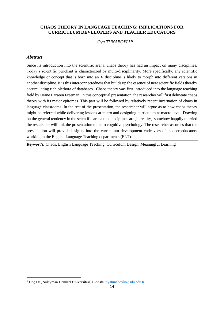#### **CHAOS THEORY IN LANGUAGE TEACHING: IMPLICATIONS FOR CURRICULUM DEVELOPERS AND TEACHER EDUCATORS**

*Oya TUNABOYLU<sup>1</sup>*

#### *Abstract*

Since its introduction into the scientific arena, chaos theory has had an impact on many disciplines. Today's scientific penchant is characterized by multi-disciplinarity. More specifically, any scientific knowledge or concept that is born into an X discipline is likely to morph into different versions in another discipline. It is this interconnectedness that builds up the essence of new scientific fields thereby accumulating rich plethora of databases. Chaos theory was first introduced into the language teaching field by Diane Larseen Freeman. In this conceptual presentation, the researcher will first delineate chaos theory with its major epitomes. This part will be followed by relatively recent incarnation of chaos in language classrooms. In the rest of the presentation, the researcher will argue as to how chaos theory might be referred while delivering lessons at micro and designing curriculum at macro level. Drawing on the general tendency in the scientific arena that disciplines are ,in reality, somehow happily married the researcher will link the presentation topic to cognitive psychology. The researcher assumes that the presentation will provide insights into the curriculum development endeavors of teacher educators working in the English Language Teaching departments (ELT).

*Keywords:* Chaos, English Language Teaching, Curriculum Design, Meaningful Learning

<sup>1</sup> Doç.Dr., Süleyman Demirel Üniversitesi, E-posta: [oyatunaboylu@sdu.edu.tr](mailto:oyatunaboylu@sdu.edu.tr)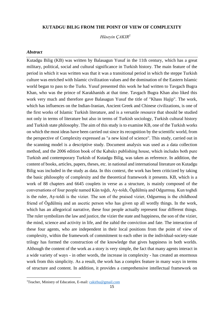#### **KUTADGU BILIG FROM THE POINT OF VIEW OF COMPLEXITY**

*Hüseyin ÇAKIR<sup>1</sup>*

#### *Abstract*

Kutadgu Bilig (KB) was written by Balasagun Yusuf in the 11th century, which has a great military, political, social and cultural significance in Turkish history. The main feature of the period in which it was written was that it was a transitional period in which the steppe Turkish culture was enriched with Islamic civilization values and the domination of the Eastern Islamic world began to pass to the Turks. Yusuf presented this work he had written to Tavgach Bugra Khan, who was the prince of Karakhanids at that time. Tavgach Bugra Khan also liked this work very much and therefore gave Balasagun Yusuf the title of "Khass Hajip". The work, which has influences on the Indian-Iranian, Ancient Greek and Chinese civilizations, is one of the first works of Islamic Turkish literature, and is a versatile resource that should be studied not only in terms of literature but also in terms of Turkish sociology, Turkish cultural history and Turkish state philosophy. The aim of this study is to examine KB, one of the Turkish works on which the most ideas have been carried out since its recognition by the scientific world, from the perspective of Complexity expressed as "a new kind of science". This study, carried out in the scanning model is a descriptive study. Document analysis was used as a data collection method, and the 2006 edition book of the Kabalcı publishing house, which includes both pure Turkish and contemporary Turkish of Kutadgu Bilig, was taken as reference. In addition, the content of books, articles, papers, theses, etc. in national and international literature on Kutadgu Bilig was included in the study as data. In this context, the work has been criticized by taking the basic philosophy of complexity and the theoretical framework it presents. KB, which is a work of 88 chapters and 6645 couplets in verse as a structure, is mainly composed of the conversations of four people named Kün toğdı, Ay-toldı, Ögdülmiş and Odgurmuş. Kun toghdi is the ruler, Ay-toldi is the vizier. The son of the praised vizier, Odgurmuş is the childhood friend of Ögdülmiş and an ascetic person who has given up all wordly things. In the work, which has an allegorical narrative, these four people actually represent four different things. The ruler symbolizes the law and justice, the vizier the state and happiness, the son of the vizier, the mind, science and activity in life, and the zahid the conviction and fate. The interaction of these four agents, who are independent in their local positions from the point of view of complexity, within the framework of commitment to each other in the individual-society-state trilogy has formed the construction of the knowledge that gives happiness in both worlds. Although the content of the work as a story is very simple, the fact that many agents interact in a wide variety of ways - in other words, the increase in complexity - has created an enormous work from this simplicity. As a result, the work has a complex feature in many ways in terms of structure and content. In addition, it provides a comprehensive intellectual framework on

<sup>&</sup>lt;sup>1</sup>Teacher, Ministry of Education, E-mail: [cakirhu@gmail.com](mailto:cakirhu@gmail.com)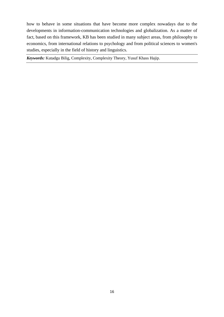how to behave in some situations that have become more complex nowadays due to the developments in information-communication technologies and globalization. As a matter of fact, based on this framework, KB has been studied in many subject areas, from philosophy to economics, from international relations to psychology and from political sciences to women's studies, especially in the field of history and linguistics.

*Keywords:* Kutadgu Bilig, Complexity, Complexity Theory, Yusuf Khass Hajip.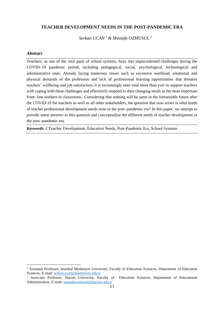#### **TEACHER DEVELOPMENT NEEDS IN THE POST-PANDEMIC ERA**

*Serkan UCAN <sup>1</sup> & Mustafa OZMUSUL <sup>2</sup>*

#### *Abstract*

Teachers, as one of the vital parts of school systems, have met unprecedented challenges during the COVID–19 pandemic period, including pedagogical, social, psychological, technological and administrative ones. Already facing numerous issues such as excessive workload, emotional and physical demands of the profession and lack of professional learning opportunities that threaten teachers' wellbeing and job satisfaction, it is increasingly seen vital more than ever to support teachers with coping with these challenges and effectively respond to their changing needs as the most important front–line workers in classrooms. Considering that nothing will be same in the foreseeable future after the COVID-19 for teachers as well as all other stakeholders, the question that now arises is what kinds of teacher professional development needs arise in the post–pandemic era? In this paper, we attempt to provide some answers to this question and conceptualize the different needs of teacher development in the post–pandemic era.

*Keywords:* CTeacher Development, Education Needs, Post-Pandemic Era, School Systems

<sup>&</sup>lt;sup>1</sup> Assistant Professor, Istanbul Medeniyet University, Faculty of Education Sciences, Department of Education Sciences, E-mail: [serkan.ucan@medeniyet.edu.tr](mailto:serkan.ucan@medeniyet.edu.tr)

<sup>2</sup> Associate Professor, Harran University, Faculty of Education Sciences, Department of Educational Administration, E-mail: [mustafaozmusul@harrran.edu.tr](mailto:mustafaozmusul@harrran.edu.tr)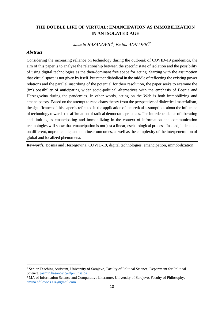# **THE DOUBLE LIFE OF VIRTUAL: EMANCIPATION AS IMMOBILIZATION IN AN ISOLATED AGE**

*Jasmin HASANOVIĆ<sup>1</sup> , Emina ADILOVIĆ<sup>2</sup>*

#### *Abstract*

Considering the increasing reliance on technology during the outbreak of COVID-19 pandemics, the aim of this paper is to analyze the relationship between the specific state of isolation and the possibility of using digital technologies as the then-dominant free space for acting. Starting with the assumption that virtual space is not given by itself, but rather diabolical in the middle of reflecting the existing power relations and the parallel inscribing of the potential for their resolution, the paper seeks to examine the (im) possibility of anticipating wider socio-political alternatives with the emphasis of Bosnia and Herzegovina during the pandemics. In other words, acting on the Web is both immobilizing and emancipatory. Based on the attempt to read chaos theory from the perspective of dialectical materialism, the significance of this paper is reflected in the application of theoretical assumptions about the influence of technology towards the affirmation of radical democratic practices. The interdependence of liberating and limiting as emancipating and immobilizing in the context of information and communication technologies will show that emancipation is not just a linear, eschatological process. Instead, it depends on different, unpredictable, and nonlinear outcomes, as well as the complexity of the interpenetration of global and localized phenomena.

*Keywords:* Bosnia and Herzegovina, COVID-19, digital technologies, emancipation, immobilization.

<sup>&</sup>lt;sup>1</sup> Senior Teaching Assistant, University of Sarajevo, Faculty of Political Science, Department for Political Science, [jasmin.hasanovic@fpn.unsa.ba](mailto:jasmin.hasanovic@fpn.unsa.ba)

<sup>&</sup>lt;sup>2</sup> MA of Information Science and Comparative Literature, University of Sarajevo, Faculty of Philosophy, [emina.adilovic3004@gmail.com](mailto:emina.adilovic3004@gmail.com)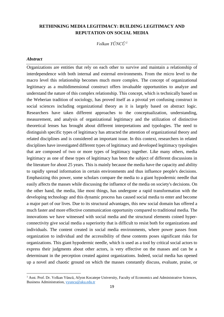# **RETHINKING MEDIA LEGITIMACY: BUILDING LEGITIMACY AND REPUTATION ON SOCIAL MEDIA**

*Volkan YÜNCÜ <sup>1</sup>*

#### *Abstract*

Organizations are entities that rely on each other to survive and maintain a relationship of interdependence with both internal and external environments. From the micro level to the macro level this relationship becomes much more complex. The concept of organizational legitimacy as a multidimensional construct offers invaluable opportunities to analyze and understand the nature of this complex relationship. This concept, which is technically based on the Weberian tradition of sociology, has proved itself as a pivotal yet confusing construct in social sciences including organizational theory as it is largely based on abstract logic. Researchers have taken different approaches to the conceptualization, understanding, measurement, and analysis of organizational legitimacy and the utilization of distinctive theoretical lenses has brought about different interpretations and typologies. The need to distinguish specific types of legitimacy has attracted the attention of organizational theory and related disciplines and is considered an important issue. In this context, researchers in related disciplines have investigated different types of legitimacy and developed legitimacy typologies that are composed of two or more types of legitimacy together. Like many others, media legitimacy as one of these types of legitimacy has been the subject of different discussions in the literature for about 25 years. This is mainly because the media have the capacity and ability to rapidly spread information in certain environments and thus influence people's decisions. Emphasizing this power, some scholars compare the media to a giant hypodermic needle that easily affects the masses while discussing the influence of the media on society's decisions. On the other hand, the media, like most things, has undergone a rapid transformation with the developing technology and this dynamic process has caused social media to enter and become a major part of our lives. Due to its structural advantages, this new social domain has offered a much faster and more effective communication opportunity compared to traditional media. The innovations we have witnessed with social media and the structural elements coined hyperconnectivity give social media a superiority that is difficult to resist both for organizations and individuals. The content created in social media environments, where power passes from organization to individual and the accessibility of these contents poses significant risks for organizations. This giant hypodermic needle, which is used as a tool by critical social actors to express their judgments about other actors, is very effective on the masses and can be a determinant in the perception created against organizations. Indeed, social media has opened up a novel and chaotic ground on which the masses constantly discuss, evaluate, praise, or

<sup>&</sup>lt;sup>1</sup> Asst. Prof. Dr. Volkan Yüncü, Afyon Kocatepe University, Faculty of Economics and Administrative Sciences, Business Administration[, vyuncu@aku.edu.tr](mailto:vyuncu@aku.edu.tr)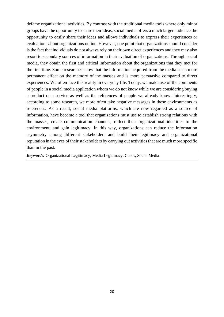defame organizational activities. By contrast with the traditional media tools where only minor groups have the opportunity to share their ideas, social media offers a much larger audience the opportunity to easily share their ideas and allows individuals to express their experiences or evaluations about organizations online. However, one point that organizations should consider is the fact that individuals do not always rely on their own direct experiences and they may also resort to secondary sources of information in their evaluation of organizations. Through social media, they obtain the first and critical information about the organizations that they met for the first time. Some researches show that the information acquired from the media has a more permanent effect on the memory of the masses and is more persuasive compared to direct experiences. We often face this reality in everyday life. Today, we make use of the comments of people in a social media application whom we do not know while we are considering buying a product or a service as well as the references of people we already know. Interestingly, according to some research, we more often take negative messages in these environments as references. As a result, social media platforms, which are now regarded as a source of information, have become a tool that organizations must use to establish strong relations with the masses, create communication channels, reflect their organizational identities to the environment, and gain legitimacy. In this way, organizations can reduce the information asymmetry among different stakeholders and build their legitimacy and organizational reputation in the eyes of their stakeholders by carrying out activities that are much more specific than in the past.

*Keywords:* Organizational Legitimacy, Media Legitimacy, Chaos, Social Media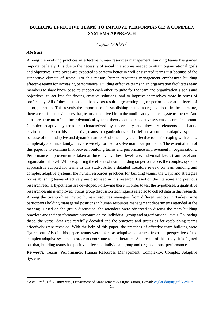# **BUILDING EFFECTIVE TEAMS TO IMPROVE PERFORMANCE: A COMPLEX SYSTEMS APPROACH**

#### *Çağlar DOĞRU<sup>1</sup>*

#### *Abstract*

Among the evolving practices in effective human resources management, building teams has gained importance lately. It is due to the necessity of social interactions needed to attain organizational goals and objectives. Employees are expected to perform better in well-designated teams just because of the supportive climate of teams. For this reason, human resources management emphasizes building effective teams for increasing performance. Building effective teams in an organization facilitates team members to share knowledge, to support each other, to unite for the team and organization's goals and objectives, to act free for finding creative solutions, and to improve themselves more in terms of proficiency. All of these actions and behaviors result in generating higher performance at all levels of an organization. This reveals the importance of establishing teams in organizations. In the literature, there are sufficient evidences that, teams are derived from the nonlinear dynamical systems theory. And as a core structure of nonlinear dynamical systems theory, complex adaptive systems become important. Complex adaptive systems are characterized by uncertainty and they are elements of chaotic environments. From this perspective, teams in organizations can be defined as complex adaptive systems because of their adaptive and dynamic nature. And since they are effective tools for coping with chaos, complexity and uncertainty, they are widely formed to solve nonlinear problems. The essential aim of this paper is to examine link between building teams and performance improvement in organizations. Performance improvement is taken at three levels. These levels are, individual level, team level and organizational level. While exploring the effects of team building on performance, the complex systems approach is adopted for teams in this study. After a detailed literature review on team building and complex adaptive systems, the human resources practices for building teams, the ways and strategies for establishing teams effectively are discussed in this research. Based on the literature and previous research results, hypotheses are developed. Following these, in order to test the hypotheses, a qualitative research design is employed. Focus group discussion technique is selected to collect data in this research. Among the twenty-three invited human resources managers from different sectors in Turkey, nine participants holding managerial positions in human resources management departments attended at the meeting. Based on the group discussion, the attendees were observed to discuss the team building practices and their performance outcomes on the individual, group and organizational levels. Following these, the verbal data was carefully decoded and the practices and strategies for establishing teams effectively were revealed. With the help of this paper, the practices of effective team building were figured out. Also in this paper, teams were taken as adaptive constructs from the perspective of the complex adaptive systems in order to contribute to the literature. As a result of this study, it is figured out that, building teams has positive effects on individual, group and organizational performance.

*Keywords:* Teams, Performance, Human Resources Management, Complexity, Complex Adaptive Systems.

<sup>&</sup>lt;sup>1</sup> Asst. Prof., Ufuk University, Department of Management & Organization, E-mail[: caglar.dogru@ufuk.edu.tr](mailto:caglar.dogru@ufuk.edu.tr)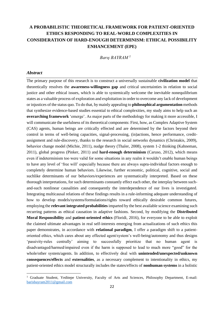# **A PROBABILISTIC THEORETICAL FRAMEWORK FOR PATIENT-ORIENTED ETHICS RESPONDING TO REAL-WORLD COMPLEXITIES IN CONSIDERATION OF HARD-ENOUGH DETERMINISM: ETHICAL POSSIBILITY ENHANCEMENT (EPE)**

*Barış BAYRAM <sup>1</sup>*

#### *Abstract*

The primary purpose of this research is to construct a universally sustainable **civilization model** that theoretically resolves the **awareness-willingness gap** and critical uncertainties in relation to social justice and other ethical issues, which is able to systemically welcome the inevitable nonequilibrium states as a valuable process of exploration and exploitation in order to overcome any lack of development or injustices of the status quo. To do that, by mainly appealing to **philosophical argumentation** methods that synthesize evidence-based studies essential to ethical complexities, my study aims to help such an **overarching framework** 'emerge'. As major parts of the methodology for making it more accessible, I will communicate the usefulness of its theoretical components: First, how, as Complex Adaptive System (CAS) agents, human beings are critically effected and are determined by the factors beyond their control in terms of well-being capacities, signal-processing, (in)actions, hence performance, creditassignment and rule-discovery, thanks to the research in social networks dynamics (Christakis, 2009), behavior change model (Michie, 2011), nudge theory (Thaler, 2008), system 1-2 thinking (Kahneman, 2011), global progress (Pinker, 2011) and **hard-enough determinism** (Caruso, 2012), which means even if indeterminism too were valid for some situations in any realm it wouldn't enable human beings to have any level of 'free will' especially because there are always supra-individual factors enough to completely determine human behaviors. Likewise, further economic, political, cognitive, social and suchlike determinants of our behaviors/experiences are systematically interpreted. Based on these thorough interpretations, for such determinants constantly effect each other, the interplay between suchand-such nonlinear causalities and consequently the interdependence of our lives is investigated. Integrating multicausal relations of these findings results in a rule-informing adequate understanding of how to develop models/systems/formulations/rights toward ethically desirable common futures, employing the **relevant integrated probabilities** imparted by the best available science examining such recurring patterns as ethical causation in adaptive fashions. Second, by modifying the **Distributed Moral Responsibility** and **patient-oriented ethics** (Floridi, 2016), for everyone to be able to exploit the claimed ultimate advantages in real self-interests emerging from actualizations of such ethics this paper demonstrates, in accordance with **relational paradigm**, I offer a paradigm shift to a patientoriented ethics, which cares about any effected agent/system's well-being/autonomy and thus designs 'passivity-rules centrally' aiming to successfully prioritize that no human agent is disadvantaged/harmed/impaired even if the harm is supposed to lead to much more "good" for the whole/other system/agents. In addition, to effectively deal with **unintended/unexpected/unknown consequences/effects** and **externalities**, as a necessary complement to intentionality in ethics, my patient-oriented ethics model structurally includes the states/effects of **nonhuman systems** in a holistic

<sup>&</sup>lt;sup>1</sup> Graduate Student, Yeditepe University, Faculty of Arts and Sciences, Philosophy Department, E-mail: [barisbayram2011@gmail.com](mailto:barisbayram2011@gmail.com)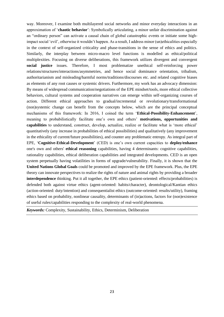way. Moreover, I examine both multilayered social networks and minor everyday interactions in an approximation of '**chaotic behavior**': Symbolically articulating, a minor unfair discrimination against an "ordinary person" can activate a causal chain of global catastrophic events or initiate some highimpact social 'evil', otherwise it wouldn't happen. As a result, I address minor (un)ethicalities especially in the context of self-organized criticality and phase-transitions in the sense of ethics and politics. Similarly, the interplay between micro-macro level functions is modelled as ethical/political multiplexities. Focusing on diverse deliberations, this framework utilizes divergent and convergent **social justice** issues. Therefore, I most problematize unethical self-reinforcing power relations/structures/interactions/asymmetries, and hence social dominance orientation, tribalism, authoritarianism and misleading/harmful norms/traditions/discourses etc. and related cognitive biases as elements of any root causes or systemic drivers. Furthermore, my work has an advocacy dimension: By means of widespread communication/negotiations of the EPE mindset/tools, more ethical collective behaviors, cultural systems and cooperation narratives can emerge within self-organizing courses of action. Different ethical approaches to gradual/incremental or revolutionary/transformational (non)systemic change can benefit from the concepts below, which are the principal conceptual mechanisms of this framework: In 2016, I coined the term '**Ethical-Possibility-Enhancement**', meaning to probabilistically facilitate one's own and others' **motivations, opportunities and capabilities** to understand, construct, develop, actualize, realize or facilitate what is 'more ethical' quantitatively (any increase in probabilities of ethical possibilities) and qualitatively (any improvement in the ethicality of current/future possibilities), and counter any problematic entropy. As integral part of EPE, '**Cognitive-Ethical-Development**' (CED) is one's own current capacities to **deploy/enhance** one's own and others' **ethical reasoning** capabilities, having 4 determinants: cognitive capabilities, rationality capabilities, ethical deliberation capabilities and integrated developments. CED is an open system perpetually having volatilities in forms of upgrade/vulnerability. Finally, it is shown that the **United Nations Global Goals** could be promoted and improved by the EPE framework. Plus, the EPE theory can innovate perspectives to realize the rights of nature and animal rights by providing a broader **interdependence** thinking. Put it all together, the EPE ethics (patient-oriented: effects/probabilities) is defended both against virtue ethics (agent-oriented: habits/character), deontological/Kantian ethics (action-oriented: duty/intention) and consequentialist ethics (outcome-oriented: results/utility), framing ethics based on probability, nonlinear causality, determinants of (in)actions, factors for (non)existence of useful rules/capabilities responding to the complexity of real-world phenomena.

*Keywords:* Complexity, Sustainability, Ethics, Determinism, Deliberation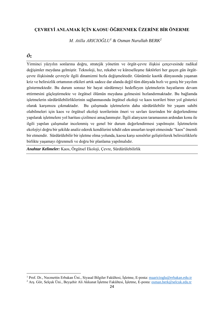# **ÇEVREYİ ANLAMAK İÇİN KAOSU ÖĞRENMEK ÜZERİNE BİR ÖNERME**

*M. Atilla ARICIOĞLU<sup>1</sup> & Osman Nurullah BERK<sup>2</sup>*

# *Öz*

Yirminci yüzyılın sonlarına doğru, stratejik yönetim ve örgüt-çevre ilişkisi çerçevesinde radikal değişimler meydana gelmiştir. Teknoloji, hız, rekabet ve küreselleşme faktörleri her geçen gün örgütçevre ilişkisinde çevreyle ilgili dinamizmi hızla değişmektedir. Günümüz kaotik dünyasında yaşanan kriz ve belirsizlik ortamının etkileri artık sadece dar alanda değil tüm dünyada hızlı ve geniş bir yayılım göstermektedir. Bu durum sonsuz bir hayat sürdürmeyi hedefleyen işletmelerin hayatlarını devam ettirmesini güçleştirmekte ve örgütsel ölümün meydana gelmesini hızlandırmaktadır. Bu bağlamda işletmelerin sürdürülebilirliklerinin sağlanmasında örgütsel ekoloji ve kaos teorileri birer yol gösterici olarak karşımıza çıkmaktadır. Bu çalışmada işletmelerin daha sürdürülebilir bir yaşam sahibi olabilmeleri için kaos ve örgütsel ekoloji teorilerinin öneri ve savları üzerinden bir değerlendirme yapılarak işletmelere yol haritası çizilmesi amaçlanmıştır. İlgili alanyazın taramasının ardından konu ile ilgili yapılan çalışmalar incelenmiş ve genel bir durum değerlendirmesi yapılmıştır. İşletmelerin ekolojiyi doğru bir şekilde analiz ederek kendilerini tehdit eden unsurları tespit etmesinde "kaos" önemli bir etmendir. Sürdürülebilir bir işletme olma yolunda, kaosa karşı sensörler geliştirilerek belirsizliklerle birlikte yaşamayı öğrenmeli ve doğru bir planlama yapılmalıdır.

*Anahtar Kelimeler:* Kaos, Örgütsel Ekoloji, Çevre, Sürdürülebilirlik

<sup>&</sup>lt;sup>1</sup> Prof. Dr., Necmettin Erbakan Üni., Siyasal Bilgiler Fakültesi, İşletme, E-posta: [maaricioglu@erbakan.edu.tr](mailto:maaricioglu@erbakan.edu.tr)

<sup>2</sup> Arş. Gör, Selçuk Üni., Beyşehir Ali Akkanat İşletme Fakültesi, İşletme, E-posta[: osman.berk@selcuk.edu.tr](mailto:osman.berk@selcuk.edu.tr)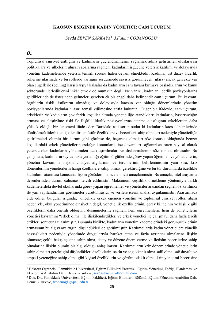# **KAOSUN EŞİĞİNDE KADIN YÖNETİCİ: CAM UÇURUM**

*Sevda SEVEN ŞARKAYA<sup>1</sup> &Fatma ÇOBANOĞLU<sup>2</sup>*

# *Öz*

Toplumsal cinsiyet eşitliğini ve kadınların güçlendirilmesini sağlamak adına geliştirilen uluslararası politikalara ve ülkelerin ulusal çabalarına rağmen, kadınların işgücüne yetersiz katılımı ve dolayısıyla yönetim kademelerinde yetersiz temsili sorunu halen devam etmektedir. Kadınlar üst düzey liderlik rollerine ulaşmada ve bu rollerde varlığını sürdürmede sayısız görünmeyen (glass) ancak gerçekte var olan engellerle (ceiling) karşı karşıya kalsalar da kadınların cam tavanı kırmaya başladıklarını ve kamu sektöründe ilerlediklerini inkâr etmek de mümkün değil. Ne var ki, kadınlar liderlik pozisyonlarına geldiklerinde de üstesinden gelmeleri gereken ek bir engel daha belirlendi: cam uçurum. Bu kavram, örgütlerin riskli, istikrarın olmadığı ve dolayısıyla kaosun var olduğu dönemlerinde yönetim pozisyonlarında kadınların aşırı temsil edilmesine atıfta bulunur. Diğer bir ifadeyle, cam uçurum, erkeklerin ve kadınların çok farklı koşullar altında yöneticiliğe atandıkları; kadınların, başarısızlığın artması ve eleştirilme riski ile ilişkili liderlik pozisyonlarına atanma olasılığının erkeklerden daha yüksek olduğu bir fenomeni ifade eder. Buradaki asıl sorun şudur ki kadınların kaos dönemlerinde dönüşümcü liderlikle ilişkilendirilen üstün özelliklere ve becerileri sahip olmaları nedeniyle yöneticiliğe getirilmeleri olumlu bir durum gibi görünse de, başarısız olmaları söz konusu olduğunda benzer koşullardaki erkek yöneticilerin eşdeğer konumlarda işe devamları sağlanırken zaten sayısal olarak yetersiz olan kadınların yönetimden uzaklaştırılmaları ve dışlanmalarının söz konusu olmasıdır. Bu çalışmada, kadınların sayıca fazla yer aldığı eğitim örgütlerinde görev yapan öğretmen ve yöneticilerin, yönetici kavramına ilişkin cinsiyet algılarının ve tercihlerinin belirlenmesinin yanı sıra, kriz dönemlerinin yöneticilerin hangi özelliklere sahip olması gerektirdiğine ve bu tür durumlarda özellikle kadınların atanması konusuna ilişkin görüşlerinin incelenmesi amaçlanmıştır. Bu amaçla, nitel araştırma desenlerinden durum çalışması tercih edilmiştir. Maksimum çeşitlilik örnekleme yöntemiyle farklı kademelerdeki devlet okullarında görev yapan öğretmenler ve yöneticiler arasından seçilen 69 katılımcı ile yarı yapılandırılmış görüşmeler yürütülmüştür ve verilere içerik analizi uygulanmıştır. Araştırmada elde edilen bulgular ışığında; öncelikle erkek egemen yönetim ve toplumsal cinsiyet rolleri algısı nedeniyle, okul yönetiminde cinsiyetin değil, yöneticilik özelliklerinin, görev bilincinin ve kişilik gibi özelliklerin daha önemli olduğunu düşünmelerine rağmen, hem öğretmenlerin hem de yöneticilerin yönetici kavramını "erkek olma" ile ilişkilendirdikleri ve erkek yönetici ile çalışmayı daha fazla tercih ettikleri sonucuna ulaşılmıştır. Bununla birlikte, kadınların yönetim kademelerindeki görünürlüklerinin artmasının bu algıyı azalttığını düşündükleri de görülmüştür. Katılımcılarda kadın yöneticilere yönelik hassaslıkları nedeniyle yönetimde duygularıyla hareket etme ve fazla ayrıntıcı olmalarına ilişkin olumsuz; çoklu bakış açısına sahip olma, detay ve düzene önem verme ve iletişim becerilerine sahip olmalarına ilişkin olumlu bir algı olduğu anlaşılmıştır. Katılımcıların kriz dönemlerinde yöneticilerin sahip olmaları gerektiğini düşündükleri özelliklerin, sakin ve soğukkanlı olma, adil olma, sağ duyulu ve empati yeteneğine sahip olma gibi kişisel özelliklerin ve çözüm odaklı olma, kriz yönetimi becerisine

<sup>1</sup> Doktora Öğrencisi, Pamukkale Üniversitesi, Eğitim Bilimleri Enstitüsü, Eğitim Yönetimi, Teftişi, Planlaması ve Ekonomisi Anabilim Dalı, Denizli-Türkiye[, sevdaseven98@hotmail.com](mailto:sevdaseven98@hotmail.com) 

<sup>2</sup> Doç. Dr., Pamukkale Üniversitesi, Eğitim Fakültesi, Eğitim Bilimleri Bölümü, Eğitim Yönetimi Anabilim Dalı, Denizli-Türkiye, [fcobanoglu@pau.edu.tr](mailto:fcobanoglu@pau.edu.tr)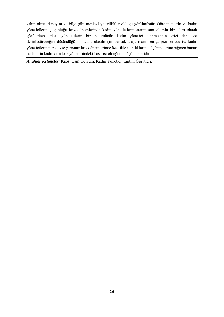sahip olma, deneyim ve bilgi gibi mesleki yeterlilikler olduğu görülmüştür. Öğretmenlerin ve kadın yöneticilerin çoğunluğu kriz dönemlerinde kadın yöneticilerin atanmasını olumlu bir adım olarak görülürken erkek yöneticilerin bir bölümünün kadın yönetici atanmasının krizi daha da derinleştireceğini düşündüğü sonucuna ulaşılmıştır. Ancak araştırmanın en çarpıcı sonucu ise kadın yöneticilerin neredeyse yarısının kriz dönemlerinde özellikle atandıklarını düşünmelerine rağmen bunun nedeninin kadınların kriz yönetimindeki başarısı olduğunu düşünmeleridir.

*Anahtar Kelimeler:* Kaos, Cam Uçurum, Kadın Yönetici, Eğitim Örgütleri.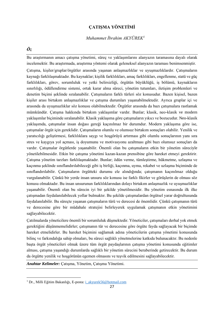# **ÇATIŞMA YÖNETİMİ**

#### *Muhammet İbrahim AKYÜREK<sup>1</sup>*

### *Öz*

Bu araştırmanın amacı çatışma yönetimi, süreç ve yaklaşımlarını alanyazın taramasına dayalı olarak incelemektir. Bu araştırmada, araştırma yöntemi olarak geleneksel alanyazın taraması benimsenmiştir.

Çatışma, kişiler/gruplar/örgütler arasında yaşanan anlaşmazlıklar ve uyuşmazlıklardır. Çatışmaların kaynağı farklılaşmaktadır. Bu kaynaklar; kişilik farklılıkları, amaç farklılıkları, engellenme, statü ve güç farklılıkları, görev, sorumluluk ve yetki belirsizliği, örgütün büyüklüğü, iş bölümü, kaynakların sınırlılığı, ödüllendirme sistemi, ortak karar alma süreci, yönetim tutumları, iletişim problemleri ve denetim biçimi şeklinde sıralanabilir. Çatışmaların farklı türleri söz konusudur. Bazen kişisel, bazen kişiler arası birtakım anlaşmazlıklar ve çatışma durumları yaşanabilmektedir. Ayrıca gruplar içi ve arasında da uyuşmazlıklar söz konusu olabilmektedir. Örgütler arasında da bazı çatışmalara rastlamak mümkündür. Çatışma hakkında birtakım yaklaşımlar vardır. Bunlar; klasik, neo-klasik ve modern yaklaşımlar biçiminde sıralanabilir. Klasik yaklaşıma göre çatışmaların yıkıcı ve bozucudur. Neo-klasik yaklaşımda, çatışmalar insan doğası gereği kaçınılmaz bir durumdur. Modern yaklaşıma göre ise, çatışmalar örgüt için gereklidir. Çatışmaların olumlu ve olumsuz birtakım sonuçları olabilir. Yenilik ve yaratıcılığı geliştirmesi, farklılıklara saygı ve hoşgörüyü artırması gibi olumlu sonuçlarının yanı sıra stres ve kaygıya yol açması, iş doyumunu ve motivasyonu azaltması gibi bazı olumsuz sonuçları da vardır. Çatışmalar örgütlerde yaşanabilir. Önemli olan bu çatışmaların etkin bir yönetim süreciyle yönetilebilmesidir. Etkin bir çatışma yönetimi kazan-kazan prensibine göre hareket etmeyi gerektirir. Çatışma yönetim tarzları farklılaşmaktadır. Bunlar; ödün verme, tümleştirme, hükmetme, uzlaşma ve kaçınma şeklinde sınıflandırılabileceği gibi iş birliği, kaçınma, uyma, rekabet ve uzlaşma biçiminde de sınıflandırılabilir. Çatışmaların örgütteki durumu ele alındığında; çatışmanın kaçınılmaz olduğu vurgulanabilir. Çünkü bir yerde insan unsuru söz konusu ise farklı fikirler ve görüşlerin de olması söz konusu olmaktadır. Bu insan unsurunun farklılıklarından dolayı birtakım anlaşmazlık ve uyuşmazlıklar yaşanabilir. Önemli olan bu sürecin iyi bir şekilde yönetilmesidir. Bu yönetim esnasında ilk ilke çatışmadan faydalanılabilecek yollar bulmaktır. Bu şekilde çatışmalardan örgütsel yarar doğrultusunda faydalanılabilir. Bu süreçte yaşanan çatışmaların türü ve derecesi de önemlidir. Çünkü çatışmanın türü ve derecesine göre bir müdahale stratejisi belirleyerek uygulamak çatışmanın etkin yönetimini sağlayabilecektir.

Çatılmalarda yöneticilere önemli bir sorumluluk düşmektedir. Yöneticiler, çatışmaları derhal yok etmek gerektiğini düşünmemelidirler; çatışmanın tür ve derecesine göre örgüte fayda sağlayacak bir biçimde hareket etmelidirler. Bu hareket biçimini sağlamak adına yöneticilerin çatışma yönetimi konusunda bilinç ve farkındalığa sahip olmaları, bu süreci sağlıklı yönetmelerine katkıda bulunacaktır. Bu nedenle başta örgüt yöneticileri olmak üzere tüm örgüt paydaşlarının çatışma yönetimi konusunda eğitimler alması, çatışma yaşandığı durumlarda sağlıklı bir yönetim sürecini beraberinde getirecektir. Bu durum da örgütte yenilik ve hoşgörünün egemen olmasını ve teşvik edilmesini sağlayabilecektir.

*Anahtar Kelimeler:* Çatışma, Yönetim, Çatışma Yönetimi.

<sup>1</sup> Dr., Milli Eğitim Bakanlığı, E-posta[: i\\_akyurek56@hotmail.com](mailto:i_akyurek56@hotmail.com)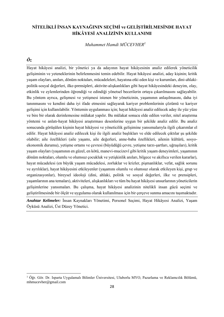# **NİTELİKLİ İNSAN KAYNAĞININ SEÇİMİ ve GELİŞTİRİLMESİNDE HAYAT HİKÂYESİ ANALİZİNİN KULLANIMI**

*Muhammet Hamdi MÜCEVHER<sup>1</sup>*

# *Öz*

Hayat hikâyesi analizi, bir yönetici ya da adayının hayat hikâyesinin analiz edilerek yöneticilik gelişiminin ve yeteneklerinin belirlenmesini temin edebilir. Hayat hikâyesi analizi, aday kişinin; kritik yaşam olayları, anıları, dönüm noktaları, mücadeleleri, hayatına etki eden kişi ve kurumları, dini-ahlakipolitik-sosyal değerleri, ilke-prensipleri, aktivite-alışkanlıkları gibi hayat hikâyesindeki deneyim, olay, etkinlik ve eylemlerinden öğrendiği ve edindiği yönetsel becerilerin ortaya çıkarılmasını sağlayabilir. Bu yöntem ayrıca, gelişmesi ve yetişmesi istenen bir yöneticinin, yaşamının anlaşılmasını, daha iyi tanınmasını ve kendini daha iyi ifade etmesini sağlayarak kariyer problemlerinin çözümü ve kariyer gelişimi için kullanılabilir. Yöntemin uygulanması için; hayat hikâyesi analiz edilecek aday ile yüz yüze ve bire bir olarak derinlemesine mülakat yapılır. Bu mülakat sonucu elde edilen veriler, nitel araştırma yöntemi ve anlatı-hayat hikâyesi araştırması desenlerine uygun bir şekilde analiz edilir. Bu analiz sonucunda görüşülen kişinin hayat hikâyesi ve yöneticilik gelişimine yansımalarıyla ilgili çıkarımlar el edilir. Hayat hikâyesi analiz edilecek kişi ile ilgili analiz başlıkları ve elde edilecek çıktılar şu şekilde olabilir; aile özellikleri (aile yaşamı, aile değerleri, anne-baba özellikleri, ailenin kültürü, sosyoekonomik durumu), yetişme ortamı ve çevresi (büyüdüğü çevre, yetişme tarzı-şartları, uğraşıları), kritik yaşam olayları (yaşamının en güzel, en kötü, manevi-mucizevî gibi kritik yaşam deneyimleri, yaşamının dönüm noktaları, olumlu ve olumsuz çocukluk ve yetişkinlik anıları, bilgece ve akıllıca verilen kararlar), hayat mücadelesi (en büyük yaşam mücadelesi, zorluklar ve krizler, pişmanlıklar, vefat, sağlık sorunu ve ayrılıklar), hayat hikâyesini etkileyenler (yaşamını olumlu ve olumsuz olarak etkileyen kişi, grup ve organizasyonlar), bireysel ideoloji (dini, ahlaki, politik ve sosyal değerleri, ilke ve prensipleri, yaşamlarının ana temaları), aktiviteleri, alışkanlıkları ve tüm bu hayat hikâyesi unsurlarının yöneticilerin gelişimlerine yansımaları. Bu çalışma, hayat hikâyesi analizinin nitelikli insan gücü seçimi ve geliştirilmesinde bir ölçüt ve uygulama olarak kullanılması için bir çerçeve sunma amacını taşımaktadır.

*Anahtar Kelimeler:* İnsan Kaynakları Yönetimi, Personel Seçimi, Hayat Hikâyesi Analizi, Yaşam Öyküsü Analizi, Üst Düzey Yönetici.

<sup>&</sup>lt;sup>1</sup> Öğr. Gör. Dr. Isparta Uygulamalı Bilimler Üniversitesi, Uluborlu MYO, Pazarlama ve Reklamcılık Bölümü, mhmucevher@gmail.com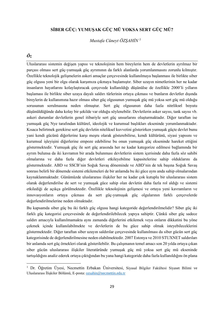# **SİBER GÜÇ: YUMUŞAK GÜÇ MÜ YOKSA SERT GÜÇ MÜ?**

*Mustafa Cüneyt ÖZŞAHİN <sup>1</sup>*

# *Öz*

Uluslararası sistemin değişen yapısı ve teknolojinin hem bireylerin hem de devletlerin ayrılmaz bir parçası olması sert güç-yumuşak güç ayrımının da farklı alanlarda yorumlanmasını zorunlu kılmıştır. Özellikle teknolojik gelişmelerin askeri amaçlar çerçevesinde kullanılmaya başlanması ile birlikte siber güç olgusu yeni bir olgu olarak karşımıza çıkmaya başlamıştır. Siber uzayın nimetlerinin her ne kadar insanların hayatlarını kolaylaştıracak çerçevede kullanıldığı düşünülse de özellikle 2000'li yılların başlaması ile birlikte siber uzaya dayalı saldırı türlerinin ortaya çıkması ve bunların devletler dışında bireylerin de kullanımına hazır olması siber güç olgusunun yumuşak güç mü yoksa sert güç mü olduğu sorusunun sorulmasına neden olmuştur. Sert güç olgusunun daha fazla niteliksel boyutu düşünüldüğünde daha kolay bir şekilde var olduğu söylenebilir. Devletlerin asker sayısı, tank sayısı vb. askeri durumlar devletlerin genel itibariyle sert güç unsurlarını oluşturmaktadır. Diğer taraftan ise yumuşak güç Nye tarafından kültürel, ideolojik ve kurumsal başlıkları ekseninde yorumlanmaktadır. Kısaca belirtmek gerekirse sert güç devletin niteliksel kuvvetini gösterirken yumuşak güçte devlet bunu yani kendi gücünü diğerlerine karşı meşru olarak gösterebilirse, kendi kültürünü, siyasi yapısını ve kurumsal işleyişini diğerlerine empoze edebilirse bu onun yumuşak güç ekseninde hareket ettiğini göstermektedir. Yumuşak güç ile sert güç arasında her ne kadar kategorize edilmesi bağlamında bir ayrım bulunsa da iki kavramın bir arada bulunması devletlerin sistem içerisinde daha fazla söz sahibi olmalarına ve daha fazla diğer devletleri etkileyebilme kapasitelerine sahip olduklarını da göstermektedir. ABD ve SSCB'nin Soğuk Savaş döneminde ve ABD'nin de tek başına Soğuk Savaş sonrası belirli bir dönemde sistemi etkilemeleri de bir anlamda bu iki güce aynı anda sahip olmalarından kaynaklanmaktadır. Günümüzde uluslararası ilişkiler her ne kadar çok kutuplu bir uluslararası sistem olarak değerlendirilse de sert ve yumuşak güce sahip olan devletin daha fazla rol aldığı ve sistemi etkilediği de açıkça görülmektedir. Özellikle teknolojinin gelişmesi ve ortaya yeni kavramların ve innovasyonların ortaya çıkması da sert güç-yumuşak güç olgularının farklı çerçevelerde değerlendirilmelerine neden olmaktadır.

Bu kapsamda siber güç bu iki farklı güç olgusu hangi kategoride değerlendirilmelidir? Siber güç iki farklı güç kategorisi çerçevesinde de değerlendirilebilecek yapıya sahiptir. Çünkü siber güç sadece saldırı amacıyla kullanılmamakta aynı zamanda diğerlerini etkilemek veya onların dikkatini bu yöne çekmek içinde kullanılabilmekte ve devletlerin de bu güce sahip olmak isteyebileceklerini göstermektedir. Diğer taraftan siber uzayın saldırılar çerçevesinde kullanılması da siber gücün sert güç kategorisinde de değerlendirilmesine neden olabilmektedir. 2007 Estonya ve 2010 STUXNET saldırıları bir anlamda sert güç örnekleri olarak gösterilebilir. Bu çalışmanın temel amacı son 20 yılda ortaya çıkan siber gücün uluslararası ilişkiler literatüründe yumuşak güç mü yoksa sert güç mü ekseninde tartışıldığını analiz ederek ortaya çıktığından bu yana hangi kategoride daha fazla kullanıldığını ön plana

<sup>1</sup> Dr. Öğretim Üyesi, Necmettin Erbakan Üniversitesi, Siyasal Bilgiler Fakültesi Siyaset Bilimi ve Uluslararası İlişkiler Bölümü, E-posta: [ozsahin@necmettin.edu.tr](mailto:ozsahin@necmettin.edu.tr)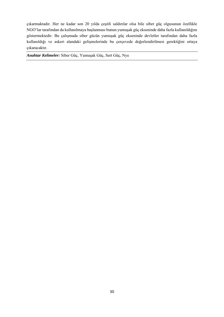çıkarmaktadır. Her ne kadar son 20 yılda çeşitli saldırılar olsa bile siber güç olgusunun özellikle NGO'lar tarafından da kullanılmaya başlanması bunun yumuşak güç ekseninde daha fazla kullanıldığını göstermektedir. Bu çalışmada siber gücün yumuşak güç ekseninde devletler tarafından daha fazla kullanıldığı ve askeri alandaki gelişmelerinde bu çerçevede değerlendirilmesi gerektiğini ortaya çıkaracaktır.

*Anahtar Kelimeler:* Siber Güç, Yumuşak Güç, Sert Güç, Nye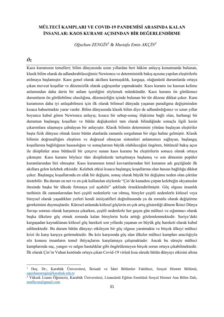# **MÜLTECİ KAMPLARI VE COVID-19 PANDEMİSİ ARASINDA KALAN İNSANLAR: KAOS KURAMI AÇISINDAN BİR DEĞERLENDİRME**

*Oğuzhan ZENGİN<sup>1</sup> & Mustafa Emin AKÇİN<sup>2</sup>*

# *Öz*

Kaos kuramının temelleri; bilim dünyasında uzun yıllardan beri hâkim anlayış konumunda bulunan, klasik bilim olarak da adlandırabileceğimiz Newtoncu ve deterministik bakış açısına yapılan eleştirilerle atılmaya başlamıştır. Kaos genel olarak akıllara karmaşıklık, kargaşa, olağanüstü durumlarda ortaya çıkan mevcut koşullar ve düzensizlik olarak çağrışımlar yapmaktadır. Kaos kuramı ise kaosun kelime anlamından daha derin bir anlam içerdiğini söylemek mümkündür. Kaos kuramı ön görülemez durumların ön görülebilme olasılığına, düzensizliğin içinde bulunan bir tür düzene dikkat çeker. Kaos kuramının daha iyi anlaşabilmesi için ilk olarak bilimsel dünyada yaşanan paradigma değişiminden kısaca bahsetmekte yarar vardır. Bilim dünyasında klasik bilim diye de adlandırdığımız ve uzun yıllar boyunca kabul gören Newtoncu anlayış; kısaca bir sebep-sonuç ilişkisine bağlı olan, herhangi bir durumun başlangıç koşulları ve bütün değişkenleri tam olarak bilindiğinde sonuçla ilgili kesin çıkarımlara ulaşmaya çabalayan bir anlayıştır. Klasik bilimin determinist yönüne başlayan eleştiriler başta fizik dünyası olmak üzere bütün alanlarda zamanla sorgulanan bir olgu haline gelmiştir. Klasik bilimin doğrusallığını eleştiren ve doğrusal olmayan sistemleri anlamımızı sağlayan, başlangıç koşullarına bağlılığının hassaslığını ve sonuçlarının büyük olabileceğini öngören, bütüncül bakış açısı ile disiplinler arası bütüncül bir çerçeve sunan kaos kuramı bu eleştirilerin sonucu olarak ortaya çıkmıştır. Kaos kuramı böylece tüm disiplinlerde tartışılmaya başlamış ve son dönemin popüler kuramlarından biri olmuştur. Kaos kuramının temel kavramlarından biri kuramın adı geçtiğinde ilk akıllara gelen kelebek etkisidir. Kelebek etkisi kısaca başlangıç koşullarına olan hassas bağlılığa dikkat çeker. Başlangıç koşullarında en ufak bir değişim, sonuç olarak büyük bir değişime neden olan çıktılar üretebilir. Bu durum en net ve en çok kullanılan söylemle "Çin'de kanadını çırpan kelebeğin okyanuslar ötesinde başka bir ülkede fırtınaya yol açabilir" şeklinde örneklendirilmiştir. Göç olgusu insanlık tarihinin ilk zamanlarından beri çeşitli nedenlerle var olmuş, bireyler çeşitli nedenlerle kitlesel veya bireysel olarak yaşadıkları yerleri kendi inisiyatifleri doğrultusunda ya da zorunlu olarak değiştirme gereksinimi duymuşlardır. Küresel anlamda kitlesel göçlerin en çok artış gösterdiği dönem İkinci Dünya Savaşı sonrası olarak karşımıza çıkarken, çeşitli nedenlerle her geçen gün mülteci ve sığınmacı olarak başka ülkelere göç etmek zorunda kalan bireylerin hızla arttığı gözlemlenmektedir. Suriye'deki kargaşadan kaynaklanan kitlesel göç hareketi son yıllarda yaşanan en büyük göç hareketi olarak kabul edilmektedir. Bu durum bütün dünyayı etkileyen bir göç olgusu yaratmakta ve birçok ülkeyi mülteci krizi ile karşı karşıya getirmektedir. Bu kriz karşısında göç alan ülkeler mülteci kampları aracılığıyla söz konusu insanların temel ihtiyaçlarını karşılamaya çalışmaktadır. Ancak bu süreçte mülteci kamplarında suç, yangın ve salgın hastalıklar gibi öngörülemeyen birçok sorun ortaya çıkabilmektedir. İlk olarak Çin'in Vuhan kentinde ortaya çıkan Covid-19 virüsü kısa sürede bütün dünyayı etkisini altına

<sup>1</sup> Doç. Dr., Karabük Üniversitesi, İktisadi ve İdari Bölümler Fakültesi, Sosyal Hizmet Bölümü, [oguzhanzengin@karabuk.edu.tr](mailto:oguzhanzengin@karabuk.edu.tr)

<sup>2</sup> Yüksek Lisans Öğrencisi, Karabük Üniversitesi, Lisansüstü Eğitim Enstitüsü Sosyal Hizmet Ana Bilim Dalı, [mstfkcnn@gmail.com](mailto:mstfkcnn@gmail.com)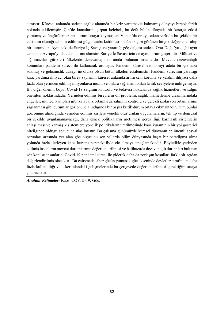almıştır. Küresel anlamda sadece sağlık alanında bir kriz yaratmakla kalmamış dünyayı birçok farklı noktada etkilemiştir. Çin'de kanatlarını çırpan kelebek, bu defa bütün dünyada bir kasırga etkisi yaratmış ve öngörülemez bir durum ortaya koymuştur. Vuhan'da ortaya çıkan virüsün bu şekilde bir etkisinin olacağı tahmin edilmesi güç, hesaba katılması imkânsız gibi görünen birçok değişkene sahip bir durumdur. Aynı şekilde Suriye İç Savaşı ve yarattığı göç dalgası sadece Orta Doğu'yu değil aynı zamanda Avrupa'yı da etkisi altına almıştır. Suriye İç Savaşı için de aynı durum geçerlidir. Mülteci ve sığınmacılar gittikleri ülkelerde dezavantajlı durumda bulunan insanlardır. Mevcut dezavantajlı konumları pandemi süreci ile katlanarak artmıştır. Pandemi küresel ekonomiyi adeta bir çıkmaza sokmuş ve gelişmişlik düzeyi ne olursa olsun bütün ülkeleri etkilemiştir. Pandemi sürecinin yarattığı kriz, yardıma ihtiyacı olan birey sayısının küresel anlamda artırırken, koruma ve yardım ihtiyacı daha fazla olan yerinden edilmiş milyonlarca insanı ve onlara sağlanan fonları kritik seviyelere indirgemiştir. Bir diğer önemli boyut Covid-19 salgının kontrolü ve tedavisi noktasında sağlık hizmetleri ve salgın önemleri noktasındadır. Yerinden edilmiş bireylerin dil problemi, sağlık hizmetlerine ulaşımlarındaki engeller, mülteci kampları gibi kalabalık ortamlarda salgının kontrolü ve gerekli izolasyon ortamlarının sağlanması gibi durumlar göz önüne alındığında bir başka kritik durum ortaya çıkmaktadır. Tüm bunlar göz önüne alındığında yerinden edilmiş kişilere yönelik oluşturulan uygulamaların, tek tip ve doğrusal bir şekilde uygulanamayacağı, daha esnek politikaların üretilmesi gerekliliği, karmaşık sistemlerin anlaşılması ve karmaşık sistemlere yönelik politikaların üretilmesinde kaos kuramının bir yol gösterici niteliğinde olduğu sonucuna ulaşılmıştır. Bu çalışma günümüzde küresel dünyanın en önemli sosyal sorunları arasında yer alan göç olgusunu son yıllarda bilim dünyasında başat bir paradigma olma yolunda hızla ilerleyen kaos kuramı perspektifiyle ele almayı amaçlamaktadır. Böylelikle yerinden edilmiş insanların mevcut durumlarının değerlendirilmesi ve halihazırda dezavantajlı durumları bulunan söz konusu insanların, Covid-19 pandemi süreci ile giderek daha da zorlaşan koşulları farklı bir açıdan değerlendirilmiş olacaktır. Bu çalışmada siber gücün yumuşak güç ekseninde devletler tarafından daha fazla kullanıldığı ve askeri alandaki gelişmelerinde bu çerçevede değerlendirilmesi gerektiğini ortaya çıkaracaktır.

*Anahtar Kelimeler:* Kaos, COVID-19, Göç.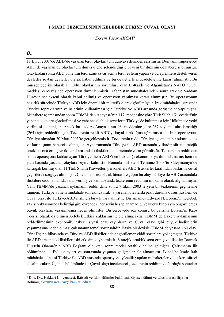#### **1 MART TEZKERESİNİN KELEBEK ETKİSİ: ÇUVAL OLAYI**

*Ekrem Yaşar AKÇAY<sup>1</sup>*

# *Öz*

11 Eylül 2001'de ABD'de yaşanan terör olayları tüm dünyayı derinden sarsmıştır. Dünyanın süper gücü ABD'de yaşanan bu olaylar tüm dünyayı endişelendirdiği gibi yeni bir düzenin de habercisi olmuştur. Olaylardan sonra ABD yönetimi terörizme savaş açmış terör eylemi yapan ve bu eylemlere destek veren devletler şeytan devletler olarak kabul edilmiş ve bu devletlerle mücadele etme kararı alınmıştır. Bu mücadelede ilk olarak 11 Eylül olaylarının sorumlusu olan El-Kaide ve Afganistan'a NATO'nun 5. maddesi çerçevesinde operasyon düzenlenmiştir. Afganistan müdahalesinden sonra Irak ve Saddam Hüseyin şer ekseni olarak kabul edilmiş ve operasyon yapılması kararı alınmıştır. Bu operasyonun hazırlık sürecinde Türkiye ABD için önemli bir müttefik olarak görülmüştür. Irak müdahalesi sırasında Türkiye topraklarının ve üslerinin kullanılması için Türkiye ve ABD arasında görüşmeler yapılmıştır. Müzakere aşamasından sonra TBMM'den Anayasa'nın 117. maddesine göre Türk Silahlı Kuvvetleri'nin yabancı ülkelere gönderilmesi ve yabancı silahlı kuvvetlerin Türkiye'de bulunması için Hükümet'e yetki verilmesi istenmiştir. Ancak bu tezkere Anayasa'nın 96. maddesine göre 267 sayısına ulaşılamadığı (264) için reddedilmiştir. Tezkerenin reddi ABD'yi hayal kırıklığına uğratmışsa da, Irak operasyonu Türkiye olmadan 20 Mart 2003'te gerçekleşmiştir. Tezkerenin reddi Türkiye açısından bir sıkıntı, kaos ve karmaşanın habercisi olmuştur. Aynı zamanda Türkiye ile ABD arasında yıllardır süren stratejik ortaklık sona ermiş ve iki taraf arasındaki ilişkiler ciddi biçimde zarar görmüştür. Tezkerenin reddinden sonra operasyona katılamayan Türkiye, hem ABD'den beklediği ekonomik yardımı alamamış hem de yanı başında yaşanan olaylara seyirci kalmıştır. Bununla birlikte 4 Temmuz 2003'te Süleymaniye'de karargah kurmuş olan 11 Türk Silahlı Kuvvetleri personelleri ABD'li askerler tarafından başlarına çuval geçirilerek sorguya alınmıştır. Çuval hadisesi olarak literatüre geçen bu olay Türkiye ile ABD arasındaki ilişkilere ciddi anlamda zarar vermiş ve kamuoyunda tezkerenin reddinin intikamı olarak algılanmıştır. Yani TBMM'de yaşanan oylamanın reddi, daha sonra 7 Ekim 2003'te yeni bir tezkerenin geçmesine rağmen, Türkiye'yi hem müdahale sonrasında Irak'ta yaşanan olaylarda pasif duruma düşürmüş hem de Çuval olayı ile Türkiye-ABD ilişkileri büyük yara almıştır. Bir anlamda Edward N. Lorenz'in Kelebek Etkisi yaklaşımında belirttiği gibi evrendeki her şeyin hesaplanamadığı ve küçük bir olayın öngörülemez büyük olayların yaşanmasına neden olmuştur. Bu çerçevede söz konusu bu çalışma Lorenz'in Kaos Teorisi olarak da bilinen Kelebek Etkisi Yaklaşımı ile ele alınacaktır. TBMM'de tezkere oylamasının reddedilmesinin ekonomik, askeri, siyasi bazı kayıpların ve Çuval olayı gibi büyük hadiselerin yaşanmasına neden olması çalışmanın temel sorunsalıdır. Başka bir deyişle TBMM'de yaşanan bir olay, Türk Dış politikasında ve Türkiye-ABD ilişkilerinde öngörülemez ciddi sorunlara yol açmıştır. Türkiye ile ABD arasındaki ilişkiler eski etkisini kaybetmiştir. Stratejik ortaklık sona ermiş ve ilişkiler Barrack Hussein Obama'nın ABD Başkanı olduktan sonra model ortaklık haline gelmiştir. Çalışmanın ilk bölümünde 11 Eylül olayları ve sonrasında yaşanan gelişmeler ele alınacaktır. İkinci bölümde Irak müdahalesi öncesi Türkiye ile ABD arasında operasyona yönelik yapılan müzakereler ve tezkere süreci ele alınacaktır. Üçüncü bölümünde ise Çuval olayı incelenerek, tezkerenin reddinin doğurduğu sonuçları

<sup>1</sup> Doç. Dr., Hakkari Üniversitesi, İktisadi ve İdari Bilimler Fakültesi, Siyaset Bilimi ve Uluslararası İlişkiler Bölümü, [ekremyasarakcay@hakkari.edu.tr](mailto:ekremyasarakcay@hakkari.edu.tr)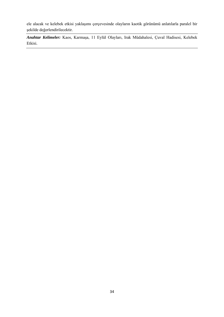ele alacak ve kelebek etkisi yaklaşımı çerçevesinde olayların kaotik görünümü anlatılarla paralel bir şekilde değerlendirilecektir.

*Anahtar Kelimeler:* Kaos, Karmaşa, 11 Eylül Olayları, Irak Müdahalesi, Çuval Hadisesi, Kelebek Etkisi.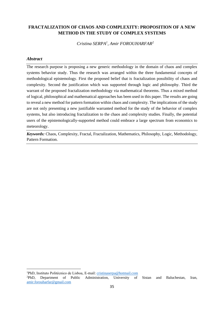# **FRACTALIZATION OF CHAOS AND COMPLEXITY: PROPOSITION OF A NEW METHOD IN THE STUDY OF COMPLEX SYSTEMS**

*Cristina SERPA<sup>1</sup> , Amir FOROUHARFAR<sup>2</sup>*

#### *Abstract*

The research purpose is proposing a new generic methodology in the domain of chaos and complex systems behavior study. Thus the research was arranged within the three fundamental concepts of methodological epistemology. First the proposed belief that is fractalization possibility of chaos and complexity. Second the justification which was supported through logic and philosophy. Third the warrant of the proposed fractalization methodology via mathematical theorems. Thus a mixed method of logical, philosophical and mathematical approaches has been used in this paper. The results are going to reveal a new method for pattern formation within chaos and complexity. The implications of the study are not only presenting a new justifiable warranted method for the study of the behavior of complex systems, but also introducing fractalization to the chaos and complexity studies. Finally, the potential users of the epistemologically-supported method could embrace a large spectrum from economics to meteorology.

*Keywords:* Chaos, Complexity, Fractal, Fractalization, Mathematics, Philosophy, Logic, Methodology, Pattern Formation.

<sup>1</sup>PhD, Instituto Politécnico de Lisboa, E-mail: [cristinaserpa@hotmail.com](mailto:cristinaserpa@hotmail.com)

<sup>2</sup>PhD, Department of Public Administration, University of Sistan and Baluchestan, Iran, [amir.forouharfar@gmail.com](mailto:amir.forouharfar@gmail.com)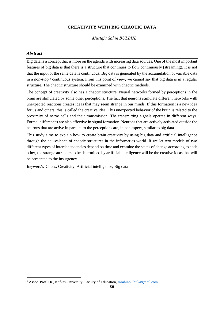#### **CREATIVITY WITH BIG CHAOTIC DATA**

*Mustafa Şahin BÜLBÜL <sup>1</sup>*

#### *Abstract*

Big data is a concept that is more on the agenda with increasing data sources. One of the most important features of big data is that there is a structure that continues to flow continuously (streaming). It is not that the input of the same data is continuous. Big data is generated by the accumulation of variable data in a non-stop / continuous system. From this point of view, we cannot say that big data is in a regular structure. The chaotic structure should be examined with chaotic methods.

The concept of creativity also has a chaotic structure. Neural networks formed by perceptions in the brain are stimulated by some other perceptions. The fact that neurons stimulate different networks with unexpected reactions creates ideas that may seem strange in our minds. If this formation is a new idea for us and others, this is called the creative idea. This unexpected behavior of the brain is related to the proximity of nerve cells and their transmission. The transmitting signals operate in different ways. Formal differences are also effective in signal formation. Neurons that are actively activated outside the neurons that are active in parallel to the perceptions are, in one aspect, similar to big data.

This study aims to explain how to create brain creativity by using big data and artificial intelligence through the equivalence of chaotic structures in the informatics world. If we let two models of two different types of interdependencies depend on time and examine the states of change according to each other, the strange attractors to be determined by artificial intelligence will be the creative ideas that will be presented to the insurgency.

*Keywords:* Chaos, Creativity, Artificial intelligence, Big data

<sup>&</sup>lt;sup>1</sup> Assoc. Prof. Dr., Kafkas University, Faculty of Education, [msahinbulbul@gmail.com](mailto:msahinbulbul@gmail.com)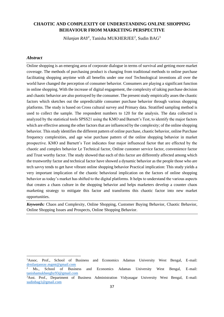# **CHAOTIC AND COMPLEXITY OF UNDERSTANDING ONLINE SHOPPING BEHAVIOUR FROM MARKETING PERSPECTIVE**

 $Nilanjan RAY<sup>1</sup>$ , Tanisha MUKHERJEE<sup>2</sup>, Sudin BAG<sup>3</sup>

#### *Abstract*

Online shopping is an emerging area of corporate dialogue in terms of survival and getting more market coverage. The methods of purchasing product is changing from traditional methods to online purchase facilitating shopping anytime with all benefits under one roof Technological inventions all over the world have changed the perception of consumer behavior. Consumers are playing a significant function in online shopping. With the increase of digital engagement, the complexity of taking purchase decision and chaotic behavior are also portrayed by the consumer. The present study empirically asses the chaotic factors which sketches out the unpredictable consumer purchase behavior through various shopping platforms. The study is based on Cross cultural survey and Primary data. Stratified sampling method is used to collect the sample. The respondent numbers to 120 for the analysis. The data collected is analyzed by the statistical tools SPSS21 using the KMO and Barnett's Test, to identify the major factors which are effective among the other factors that are influenced by the complexity; of the online shopping behavior. This study identifies the different pattern of online purchase, chaotic behavior, online Purchase frequency complexities, and age wise purchase pattern of the online shopping behavior in market prospective. KMO and Barnett's Test indicates four major influenced factor that are effected by the chaotic and complex behavior I,e Technical factor, Online customer service factor, convenience factor and Trust worthy factor. The study showed that each of this factor are differently affected among which the trustworthy factor and technical factor have showed a dynamic behavior as the people those who are tech savvy tends to get have vibrant online shopping behavior Practical implication: This study yields a very important implication of the chaotic behavioral implication on the factors of online shopping behavior as today's market has shifted to the digital platforms. It helps to understand the various aspects that creates a chaos culture in the shopping behavior and helps marketers develop a counter chaos marketing strategy to mitigate this factor and transforms this chaotic factor into new market opportunities.

*Keywords:* Chaos and Complexity, Online Shopping, Customer Buying Behavior, Chaotic Behavior, Online Shopping Issues and Prospects, Online Shopping Behavior.

<sup>1</sup>Assoc. Prof., School of Business and Economics Adamas University West Bengal, E-mail: [drnilanjanray.mgmt@gmail.com](mailto:drnilanjanray.mgmt@gmail.com)

<sup>&</sup>lt;sup>2</sup> Ms., School of Business and Economics Adamas University West Bengal, E-mail: [tanishamukheeghy93@gmail.com](mailto:tanishamukheeghy93@gmail.com)

<sup>3</sup>Asst. Prof., Department of Business Administration Vidyasagar University West Bengal, E-mail: [sudinbag1@gmail.com](mailto:sudinbag1@gmail.com)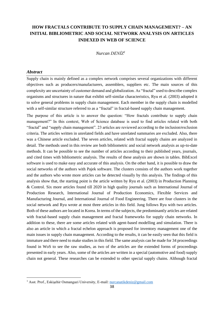# **HOW FRACTALS CONTRIBUTE TO SUPPLY CHAIN MANAGEMENT? – AN INITIAL BIBLIOMETRIC AND SOCIAL NETWORK ANALYSIS ON ARTICLES INDEXED IN WEB OF SCIENCE**

*Nurcan DENİZ<sup>1</sup>*

#### *Abstract*

Supply chain is mainly defined as a complex network comprises several organizations with different objectives such as producers/manufacturers, assemblers, suppliers etc. The main sources of this complexity are uncertainty of customer demand and globalization. As "fractal" used to describe complex organisms and structures in nature that exhibit self-similar characteristics, Ryu et al. (2003) adopted it to solve general problems in supply chain management. Each member in the supply chain is modelled with a self-similar structure referred to as a "fractal" in fractal-based supply chain management.

The purpose of this article is to answer the question: "How fractals contribute to supply chain management?" In this context, Web of Science database is used to find articles related with both "fractal" and "supply chain management". 23 articles are reviewed according to the inclusion/exclusion criteria. The articles written in unrelated fields and have unrelated summaries are excluded. Also, there was a Chinese article excluded. The seven articles, related with fractal supply chains are analyzed in detail. The methods used in this review are both bibliometric and social network analysis as up-to-date methods. It can be possible to see the number of articles according to their published years, journals, and cited times with bibliometric analysis. The results of these analysis are shown in tables. BibExcel software is used to make easy and accurate of this analysis. On the other hand, it is possible to draw the social networks of the authors with Pajek software. The clusters consists of the authors work together and the authors who wrote more articles can be detected visually by this analysis. The findings of this analysis show that, the starting point is the article written by Ryu et al. (2003) in Production Planning & Control. Six more articles found till 2020 in high quality journals such as International Journal of Production Research, International Journal of Production Economics, Flexible Services and Manufacturing Journal, and International Journal of Food Engineering. There are four clusters in the social network and Ryu wrote at most three articles in this field. Jung follows Ryu with two articles. Both of these authors are located in Korea. In terms of the subjects, the predominantly articles are related with fractal-based supply chain management and fractal frameworks for supply chain networks. In addition to these, there are some articles related with agent-based modelling and simulation. There is also an article in which a fractal echelon approach is proposed for inventory management one of the main issues in supply chain management. According to the results, it can be easily seen that this field is immature and there need to make studies in this field. The same analysis can be made for 34 proceedings found in WoS to see the raw studies, as two of the articles are the extended forms of proceedings presented in early years. Also, some of the articles are written in a special (automotive and food) supply chain not general. These researches can be extended to other special supply chains. Although fractal

<sup>&</sup>lt;sup>1</sup> Asst. Prof., Eskişehir Osmangazi University, E-mail: [nurcanatikdeniz@gmail.com](mailto:nurcanatikdeniz@gmail.com)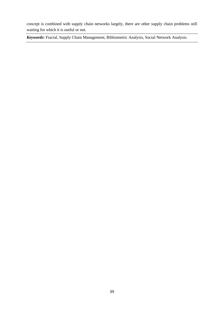concept is combined with supply chain networks largely, there are other supply chain problems still waiting for which it is useful or not.

*Keywords:* Fractal, Supply Chain Management, Bibliometric Analysis, Social Network Analysis.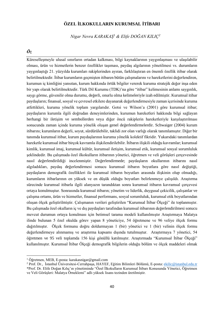# **ÖZEL İLKOKULLARIN KURUMSAL İTİBARI**

*Nigar Nevra KARAKAŞ<sup>1</sup> & Elife DOĞAN KILIÇ<sup>2</sup>*

#### *Öz*

Küreselleşmeyle ulusal sınırların ortadan kalkması, bilgi kaynaklarının yaygınlaşması ve ulaşılabilir olması, ürün ve hizmetlerin benzer özellikler taşıması, paydaş algılarının yönetilmesi vs. durumların yaygınlaştığı 21. yüzyılda kurumları rakiplerinden ayıran, farklılaştıran en önemli özellik itibar olarak belirtilmektedir. İtibar kurumların geçmişten itibaren bütün çalışmalarını ve hareketlerini değerlendiren, kurumun iç kimliğini yansıtan, kurum hakkında örtük bilgiler vererek kuruma stratejik değer inşa eden bir yapı olarak belirtilmektedir. Türk Dil Kurumu (TDK)'na göre "itibar" kelimesinin anlamı saygınlık, saygı görme, güvenilir olma durumu, değerli, onurlu olma kelimeleriyle izah edilmiştir. Kurumsal itibar paydaşların; finansal, sosyal ve çevresel etkilere dayanarak değerlendirmesiyle zaman içerisinde kuruma atfettikleri, kuruma yönelik toplam yargılarıdır. Gotsi ve Wilson'a (2001) göre kurumsal itibar; paydaşların kurumla ilgili doğrudan deneyimlerinden, kurumun hareketleri hakkında bilgi sağlayan herhangi bir iletişim ve sembollerden veya diğer öncü rakiplerin hareketleriyle karşılaştırılması sonucunda zaman içinde kuruma yönelik oluşan genel değerlendirmelerdir. Schwaiger (2004) kurum itibarını; kurumların değerli, soyut, sürdürülebilir, taklidi zor olan varlığı olarak tanımlamıştır. Diğer bir tanımda kurumsal itibar, kurum paydaşlarının kuruma yönelik kolektif fikridir. Yukarıdaki tanımlardan hareketle kurumsal itibar birçok kavramla ilişkilendirilebilir. İtibarın ilişkili olduğu kavramlar; kurumsal kimlik, kurumsal imaj, kurumsal kültür, kurumsal iletişim, kurumsal etik, kurumsal sosyal sorumluluk şeklindedir. Bu çalışmada özel ilkokulların itibarının yönetici, öğretmen ve veli görüşleri çerçevesinde nasıl değerlendirildiği incelenmiştir. Değerlendirmede; paydaşların okullarının itibarını nasıl algıladıkları, paydaş değerlendirmesi sonucu kurumsal itibarın boyutlara göre nasıl değiştiği, paydaşların demografik özellikleri ile kurumsal itibarın boyutları arasında ilişkinin olup olmadığı, kurumların itibarlarının en yüksek ve en düşük olduğu boyutları belirlenmeye çalışıldı. Araştırma sürecinde kurumsal itibarla ilgili alanyazın tarandıktan sonra kurumsal itibarın kavramsal çerçevesi ortaya konulmuştur. Sonrasında kurumsal itibarın; yönetim ve liderlik, duygusal çekicilik, çalışanlar ve çalışma ortamı, ürün ve hizmetler, finansal performans, sosyal sorumluluk, kurumsal etik boyutlarından oluşan ölçek geliştirilmiştir. Çalışmanın verileri geliştirilen "Kurumsal İtibar Ölçeği" ile toplanmıştır. Bu çalışmada özel okulların iç ve dış paydaşları tarafından kurumsal itibarının değerlendirilmesi sonucu mevcut durumun ortaya konulması için betimsel tarama modeli kullanılmıştır Araştırmaya Malatya ilinde bulunan 5 özel okulda görev yapan 8 yöneticiye, 54 öğretmene ve 96 veliye ölçek formu dağıtılmıştır. Ölçek formunu doğru doldurmayan 1 (bir) yönetici ve 1 (bir) velinin ölçek formu değerlendirmeye alınmamış ve araştırma kapsamı dışında tutulmuştur. Araştırmaya 7 yönetici, 54 öğretmen ve 95 veli toplamda 156 kişi gönüllü katılmıştır. Araştırmada "Kurumsal İtibar Ölçeği" kullanılmıştır. Kurumsal İtibar Ölçeği demografik bilgilerin olduğu bölüm ve ölçek maddeleri olmak

<sup>1</sup> Öğretmen, MEB, E-posta: [karakasnigar@gmail.com](mailto:karakasnigar@gmail.com)

<sup>2</sup> Prof. Dr., İstanbul Üniversitesi-Cerrahpaşa, HAYEF, Eğitim Bilimleri Bölümü, E-posta[: ekilic@istanbul.edu.tr](mailto:ekilic@istanbul.edu.tr) \*Prof. Dr. Elife Doğan Kılıç'ın yönetiminde "Özel İlkokulların Kurumsal İtibarı Konusunda Yönetici, Öğretmen ve Veli Görüşleri: Malatya Örneklemi" adlı yüksek lisans tezinden üretilmiştir.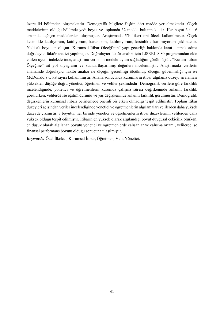üzere iki bölümden oluşmaktadır. Demografik bilgilere ilişkin dört madde yer almaktadır. Ölçek maddelerinin olduğu bölümde yedi boyut ve toplamda 32 madde bulunmaktadır. Her boyut 3 ile 6 arasında değişen maddelerden oluşmuştur. Araştırmada 5'li likert tipi ölçek kullanılmıştır. Ölçek kesinlikle katılıyorum, katılıyorum, kararsızım, katılmıyorum, kesinlikle katılmıyorum şeklindedir. Yedi alt boyuttan oluşan "Kurumsal İtibar Ölçeği'nin" yapı geçerliği hakkında kanıt sunmak adına doğrulayıcı faktör analizi yapılmıştır. Doğrulayıcı faktör analizi için LISREL 8.80 programından elde edilen uyum indekslerinde, araştırma verisinin modele uyum sağladığını görülmüştür. "Kurum İtibarı Ölçeğine" ait yol diyagramı ve standartlaştırılmış değerleri incelenmiştir. Araştırmada verilerin analizinde doğrulayıcı faktör analizi ile ölçeğin geçerliliği ölçülmüş, ölçeğin güvenilirliği için ise McDonald's ω katsayısı kullanılmıştır. Analiz sonucunda kurumların itibar algılama düzeyi sıralaması yüksekten düşüğe doğru yönetici, öğretmen ve veliler şeklindedir. Demografik verilere göre farklılık incelendiğinde; yönetici ve öğretmenlerin kurumda çalışma süresi değişkeninde anlamlı farklılık görülürken, velilerde ise eğitim durumu ve yaş değişkeninde anlamlı farklılık görülmüştür. Demografik değişkenlerin kurumsal itibarı belirlemede önemli bir etken olmadığı tespit edilmiştir. Toplam itibar düzeyleri açısından veriler incelendiğinde yönetici ve öğretmenlerin algılamaları velilerden daha yüksek düzeyde çıkmıştır. 7 boyutun her birinde yönetici ve öğretmenlerin itibar düzeylerinin velilerden daha yüksek olduğu tespit edilmiştir. İtibarın en yüksek olarak algılandığı boyut duygusal çekicilik olurken, en düşük olarak algılanan boyutu yönetici ve öğretmenlerde çalışanlar ve çalışma ortamı, velilerde ise finansal performans boyutu olduğu sonucuna ulaşılmıştır.

*Keywords:* Özel İlkokul, Kurumsal İtibar, Öğretmen, Veli, Yönetici.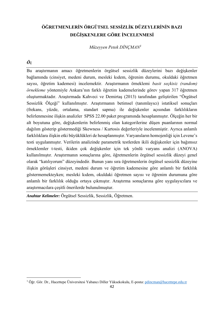# **ÖĞRETMENLERİN ÖRGÜTSEL SESSİZLİK DÜZEYLERİNİN BAZI DEĞİŞKENLERE GÖRE İNCELENMESİ**

*Müzeyyen Petek DİNÇMAN<sup>1</sup>*

#### *Öz*

Bu araştırmanın amacı öğretmenlerin örgütsel sessizlik düzeylerini bazı değişkenler bağlamında (cinsiyet, medeni durum, mesleki kıdem, öğrenim durumu, okuldaki öğretmen sayısı, öğretim kademesi) incelemektir. Araştırmanın örneklemi *basit seçkisiz (random) örnekleme* yöntemiyle Ankara'nın farklı öğretim kademelerinde görev yapan 317 öğretmen oluşturmaktadır. Araştırmada Kahveci ve Demirtaş (2013) tarafından geliştirilen "Örgütsel Sessizlik Ölçeği" kullanılmıştır. Araştırmanın betimsel (tanımlayıcı) istatiksel sonuçları (frekans, yüzde, ortalama, standart sapma) ile değişkenler açısından farklılıkların belirlenmesine ilişkin analizler SPSS 22.00 paket programında hesaplanmıştır. Ölçeğin her bir alt boyutuna göre, değişkenlerin belirlenmiş olan kategorilerine düşen puanlarının normal dağılım gösterip göstermediği Skewness / Kurtosis değerleriyle incelenmiştir. Ayrıca anlamlı farklılıklara ilişkin etki büyüklükleri de hesaplanmıştır. Varyansların homojenliği için Levene's testi uygulanmıştır. Verilerin analizinde parametrik testlerden ikili değişkenler için bağımsız örneklemler t-testi, ikiden çok değişkenler için tek yönlü varyans analizi (ANOVA) kullanılmıştır. Araştırmanın sonuçlarına göre, öğretmenlerin örgütsel sessizlik düzeyi genel olarak "katılıyorum" düzeyindedir. Bunun yanı sıra öğretmenlerin örgütsel sessizlik düzeyine ilişkin görüşleri cinsiyet, medeni durum ve öğretim kademesine göre anlamlı bir farklılık göstermemekteyken; mesleki kıdem, okuldaki öğretmen sayısı ve öğrenim durumuna göre anlamlı bir farklılık olduğu ortaya çıkmıştır. Araştırma sonuçlarına göre uygulayıcılara ve araştırmacılara çeşitli önerilerde bulunulmuştur.

*Anahtar Kelimeler:* Örgütsel Sessizlik, Sessizlik, Öğretmen.

<sup>1</sup> Öğr. Gör. Dr., Hacettepe Üniversitesi Yabancı Diller Yüksekokulu, E-posta: [pdincman@hacettepe.edu.tr](mailto:pdincman@hacettepe.edu.tr)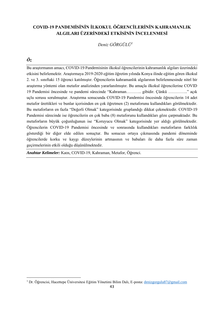# **COVID-19 PANDEMİSİNİN İLKOKUL ÖĞRENCİLERİNİN KAHRAMANLIK ALGILARI ÜZERİNDEKİ ETKİSİNİN İNCELENMESİ**

*Deniz GÖRGÜLÜ<sup>1</sup>*

# *Öz*

Bu araştırmanın amacı, COVID-19 Pandemisinin ilkokul öğrencilerinin kahramanlık algıları üzerindeki etkisini belirlemektir. Araştırmaya 2019-2020 eğitim öğretim yılında Konya ilinde eğitim gören ilkokul 2. ve 3. sınıftaki 15 öğrenci katılmıştır. Öğrencilerin kahramanlık algılarının belirlenmesinde nitel bir araştırma yöntemi olan metafor analizinden yararlanılmıştır. Bu amaçla ilkokul öğrencilerine COVID 19 Pandemisi öncesinde ve pandemi sürecinde "Kahraman……….. gibidir. Çünkü ………….." açık uçlu sorusu sorulmuştur. Araştırma sonucunda COVID-19 Pandemisi öncesinde öğrencilerin 14 adet metafor ürettikleri ve bunlar içerisinden en çok öğretmen (2) metaforunu kullandıkları görülmektedir. Bu metaforların en fazla "Değerli Olmak" kategorisinde gruplandığı dikkat çekmektedir. COVID-19 Pandemisi sürecinde ise öğrencilerin en çok baba (8) metaforunu kullandıkları göze çarpmaktadır. Bu metaforların büyük çoğunluğunun ise "Koruyucu Olmak" kategorisinde yer aldığı görülmektedir. Öğrencilerin COVID-19 Pandemisi öncesinde ve sonrasında kullandıkları metaforların farklılık gösterdiği bir diğer elde edilen sonuçtur. Bu sonucun ortaya çıkmasında pandemi döneminde öğrencilerde korku ve kaygı düzeylerinin artmasının ve babaları ile daha fazla süre zaman geçirmelerinin etkili olduğu düşünülmektedir.

*Anahtar Kelimeler:* Kaos, COVID-19, Kahraman, Metafor, Öğrenci.

<sup>1</sup> Dr. Öğrencisi, Hacettepe Üniversitesi Eğitim Yönetimi Bilim Dalı, E-posta[: denizgorgulu87@gmail.com](mailto:denizgorgulu87@gmail.com)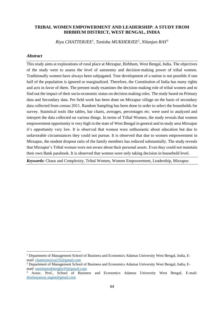#### **TRIBAL WOMEN EMPOWERMENT AND LEADERSHIP: A STUDY FROM BIRBHUM DISTRICT, WEST BENGAL, INDIA**

*Riya CHATTERJEE<sup>1</sup> , Tanisha MUKHERJEE<sup>2</sup> , Nilanjan RAY<sup>3</sup>*

#### *Abstract*

This study aims at explorations of rural place at Mirzapur, Birbhum, West Bengal, India. The objectives of the study were to assess the level of autonomy and decision-making power of tribal women. Traditionally women have always been subjugated. True development of a nation is not possible if one half of the population is ignored or marginalized. Therefore, the Constitution of India has many rights and acts in favor of them. The present study examines the decision-making role of tribal women and to find out the impact of their socio-economic status on decision making roles. The study based on Primary data and Secondary data. Pre field work has been done on Mirzapur village on the basis of secondary data collected from census 2011. Random Sampling has been done in order to select the households for survey. Statistical tools like tables, bar charts, averages, percentages etc. were used to analyzed and interpret the data collected on various things. In terms of Tribal Women, the study reveals that women empowerment opportunity is very high in the state of West Bengal in general and in study area Mirzapur it's opportunity very low. It is observed that women were enthusiastic about education but due to unfavorable circumstances they could not pursue. It is observed that due to women empowerment in Mirzapur, the student dropout ratio of the family members has reduced substantially. The study reveals that Mirzapur's Tribal women were not aware about their personal assets. Even they could not maintain their own Bank passbook. It is observed that women were only taking decision in household level.

*Keywords:* Chaos and Complexity, Tribal Women, Women Empowerment, Leadership, Mirzapur.

<sup>&</sup>lt;sup>1</sup> Department of Management School of Business and Economics Adamas University West Bengal, India, Email: [chatterjeeriya232@gmail.com](mailto:chatterjeeriya232@gmail.com)

<sup>&</sup>lt;sup>2</sup> Department of Management School of Business and Economics Adamas University West Bengal, India, Email: [tanishamukheeghy93@gmail.com](mailto:tanishamukheeghy93@gmail.com)

<sup>3</sup> Assoc. Prof., School of Business and Economics Adamas University West Bengal, E-mail: [drnilanjanray.mgmt@gmail.com](mailto:drnilanjanray.mgmt@gmail.com)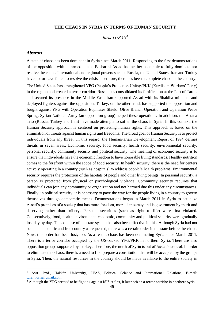#### **THE CHAOS IN SYRIA IN TERMS OF HUMAN SECURITY**

*İdris TURAN<sup>1</sup>*

#### *Abstract*

A state of chaos has been dominant in Syria since March 2011. Responding to the first demonstrations of the opposition with an armed attack, Bashar al-Assad has neither been able to fully dominate nor resolve the chaos. International and regional powers such as Russia, the United States, Iran and Turkey have not or have failed to resolve the crisis. Therefore, there has been a complete chaos in the country.

The United States has strengthened YPG (People's Protection Units)<sup>2</sup>/PKK (Kurdistan Workers' Party) in the region and created a terror corridor. Russia has consolidated its fortification at the Port of Tartus and secured its presence in the Middle East. Iran supported Assad with its Shabiha militants and deployed fighters against the opposition. Turkey, on the other hand, has supported the opposition and fought against YPG with Operation Euphrates Shield, Olive Branch Operation and Operation Peace Spring. Syrian National Army (an opposition group) helped these operations. In addition, the Astana Trio (Russia, Turkey and Iran) have made attempts to soften the chaos in Syria. In this context, the Human Security approach is centered on protecting human rights. This approach is based on the elimination of threats against human rights and freedoms. The broad goal of Human Security is to protect individuals from any threat. In this regard, the Humanitarian Development Report of 1994 defines threats in seven areas: Economic security, food security, health security, environmental security, personal security, community security and political security. The meaning of economic security is to ensure that individuals have the economic freedom to have honorable living standards. Healthy nutrition comes to the forefront within the scope of food security. In health security, there is the need for centers actively operating in a country (such as hospitals) to address people's health problems. Environmental security requires the protection of the habitats of people and other living beings. In personal security, a person is protected from physical or psychological violence. Community security requires that individuals can join any community or organization and not harmed due this under any circumstances. Finally, in political security, it is necessary to pave the way for the people living in a country to govern themselves through democratic means. Demonstrations began in March 2011 in Syria to actualize Assad's promises of a society that has more freedom, more democracy and is government by merit and deserving rather than bribery. Personal securities (such as right to life) were first violated. Consecutively, food, health, environment, economic, community and political security were gradually lost day by day. The collapse of the state system has also been effective in this. Although Syria had not been a democratic and free country as requested, there was a certain order in the state before the chaos. Now, this order has been lost, too. As a result, chaos has been dominating Syria since March 2011. There is a terror corridor occupied by the US-backed YPG/PKK in northern Syria. There are also opposition groups supported by Turkey. Therefore, the north of Syria is out of Assad's control. In order to eliminate this chaos, there is a need to first prepare a constitution that will be accepted by the groups in Syria. Then, the natural resources in the country should be made available to the entire society in

<sup>1</sup> Asst. Prof., Hakkâri University, FEAS, Political Science and International Relations, E-mail: [turan.idris@gmail.com](mailto:turan.idris@gmail.com)

<sup>&</sup>lt;sup>2</sup> Although the YPG seemed to be fighting against ISIS at first, it later seized a terror corridor in northern Syria.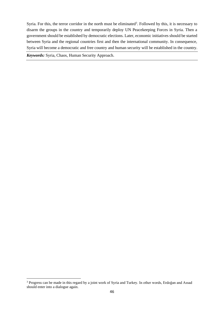Syria. For this, the terror corridor in the north must be eliminated<sup>3</sup>. Followed by this, it is necessary to disarm the groups in the country and temporarily deploy UN Peacekeeping Forces in Syria. Then a government should be established by democratic elections. Later, economic initiatives should be started between Syria and the regional countries first and then the international community. In consequence, Syria will become a democratic and free country and human security will be established in the country.

*Keywords:* Syria, Chaos, Human Security Approach.

<sup>&</sup>lt;sup>3</sup> Progress can be made in this regard by a joint work of Syria and Turkey. In other words, Erdoğan and Assad should enter into a dialogue again.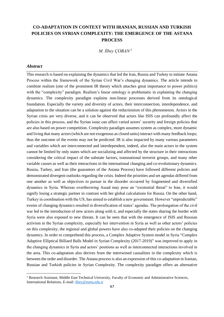# **CO-ADAPTATION IN CONTEXT WITH IRANIAN, RUSSIAN AND TURKISH POLICIES ON SYRIAN COMPLEXITY: THE EMERGENCE OF THE ASTANA PROCESS**

*M. İlbey ÇOBAN <sup>1</sup>*

#### *Abstract*

This research is based on explaining the dynamics that led the Iran, Russia and Turkey to initiate Astana Process within the framework of the Syrian Civil War's changing dynamics. The article intends to combine realism (one of the prominent IR theory which attaches great importance to power politics) with the "complexity" paradigm. Realism's linear ontology is problematic in explaining the changing dynamics. The complexity paradigm explains non-linear processes derived from its ontological foundation. Especially the variety and diversity of actors, their interconnection, interdependence, and adaptation to the situation can be a solution against the reductionism of this phenomenon. Actors in the Syrian crisis are very diverse, and it can be observed that actors like ISIS can profoundly affect the policies in this process, and the Syrian issue can affect varied actors' security and foreign policies that are also based on power competition. Complexity paradigm assumes system as complex, more dynamic and living that many actors (which are not exogenous as closed units) interact with many feedback loops; thus the outcome of the events may not be predicted. IR is also impacted by many various parameters and variables which are interconnected and interdependent, indeed, also the main actors in the system cannot be limited by only states which are socializing and affected by the structure in their interactions considering the critical impact of the substate factors, transnational terrorist groups, and many other variable causes as well as their interactions in the international changing and co-evolutionary dynamics. Russia, Turkey, and Iran (the guarantors of the Astana Process) have followed different policies and demonstrated divergent outlooks regarding the crisis. Indeed the priorities and set agendas differed from one another as well as objectives to pursue in the disorder occurred by fragmented and diversified dynamics in Syria. Whereas overthrowing Assad may pose an "existential threat" to Iran, it would signify losing a strategic partner in contrast with her global calculations for Russia. On the other hand, Turkey in coordination with the US, has aimed to establish a new government. However "unpredictable" events of changing dynamics resulted in diversification of states' agendas. The prolongation of the civil war led to the introduction of new actors along with it, and especially the states sharing the border with Syria were also exposed to new threats. It can be seen that with the emergence of ISIS and Russian activism in the Syrian complexity, especially her intervention in Syria as well as other actors' policies on this complexity, the regional and global powers have also co-adapted their policies on the changing dynamics. In order to comprehend this process, a Complex Adaptive System model in Syria "Complex Adaptive Elliptical Billiard Balls Model in Syrian Complexity (2017-2019)" was improved to apply in the changing dynamics in Syria and actors' positions as well as interconnected interactions involved in the area. This co-adaptation also derives from the intertwined causalities in the complexity which is between the order and disorder. The Astana process is also an expression of this co-adaptation in Iranian, Russian and Turkish policies in Syrian Complexity. The complexity paradigm offers an alternative

<sup>&</sup>lt;sup>1</sup> Research Assistant, Middle East Technical University, Faculty of Economic and Administrative Sciences, International Relations, E-mail: [ilbey@metu.edu.tr](mailto:ilbey@metu.edu.tr)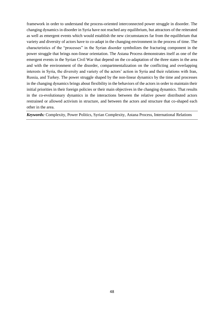framework in order to understand the process-oriented interconnected power struggle in disorder. The changing dynamics in disorder in Syria have not reached any equilibrium, but attractors of the reiterated as well as emergent events which would establish the new circumstances far from the equilibrium that variety and diversity of actors have to co-adapt in the changing environment in the process of time. The characteristics of the "processes" in the Syrian disorder symbolizes the fracturing component in the power struggle that brings non-linear orientation. The Astana Process demonstrates itself as one of the emergent events in the Syrian Civil War that depend on the co-adaptation of the three states in the area and with the environment of the disorder, compartmentalization on the conflicting and overlapping interests in Syria, the diversity and variety of the actors' action in Syria and their relations with Iran, Russia, and Turkey. The power struggle shaped by the non-linear dynamics by the time and processes in the changing dynamics brings about flexibility in the behaviors of the actors in order to maintain their initial priorities in their foreign policies or their main objectives in the changing dynamics. That results in the co-evolutionary dynamics in the interactions between the relative power distributed actors restrained or allowed activism in structure, and between the actors and structure that co-shaped each other in the area.

*Keywords:* Complexity, Power Politics, Syrian Complexity, Astana Process, International Relations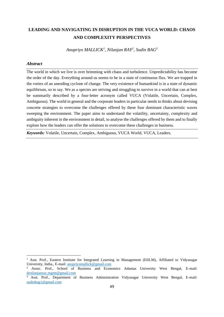# **LEADING AND NAVIGATING IN DISRUPTION IN THE VUCA WORLD: CHAOS AND COMPLEXITY PERSPECTIVES**

*Anupriyo MALLICK<sup>1</sup> , Nilanjan RAY<sup>2</sup> , Sudin BAG<sup>3</sup>*

#### *Abstract*

The world in which we live is over brimming with chaos and turbulence. Unpredictability has become the order of the day. Everything around us seems to be in a state of continuous flux. We are trapped in the vortex of an unending cyclone of change. The very existence of humankind is in a state of dynamic equilibrium, so to say. We as a species are striving and struggling to survive in a world that can at best be summarily described by a four-letter acronym called VUCA (Volatile, Uncertain, Complex, Ambiguous). The world in general and the corporate leaders in particular needs to thinks about devising concrete strategies to overcome the challenges offered by these four dominant characteristic waves sweeping the environment. The paper aims to understand the volatility, uncertainty, complexity and ambiguity inherent in the environment in detail, to analyse the challenges offered by them and to finally explore how the leaders can offer the solutions to overcome these challenges in business.

*Keywords:* Volatile, Uncertain, Complex, Ambiguous, VUCA World, VUCA, Leaders.

<sup>&</sup>lt;sup>1</sup> Asst. Prof., Eastern Institute for Integrated Learning in Management (EIILM), Affiliated to Vidyasagar University, India., E-mail[: anupriyomallick@gmail.com](mailto:anupriyomallick@gmail.com)

<sup>2</sup> Assoc. Prof., School of Business and Economics Adamas University West Bengal, E-mail: [drnilanjanray.mgmt@gmail.com](mailto:drnilanjanray.mgmt@gmail.com)

<sup>&</sup>lt;sup>3</sup> Asst. Prof., Department of Business Administration Vidyasagar University West Bengal, E-mail: [sudinbag1@gmail.com](mailto:sudinbag1@gmail.com)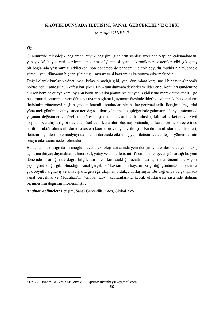# **KAOTİK DÜNYADA İLETİŞİM: SANAL GERÇEKLİK VE ÖTESİ**

*Mustafa CANBEY<sup>1</sup>*

# *Öz*

Günümüzde teknolojik bağlamda büyük değişim, gıdaların genleri üzerinde yapılan çalışmalardan, yapay zekâ, büyük veri, verilerin depolanması/işlenmesi, yeni elektronik para sistemleri gibi çok geniş bir bağlamda yaşamımızı etkilerken; son dönemde de pandemi ile çok boyutlu müthiş bir mücadele süreci yeni dünyanın hiç tanışılmamış sayısız yeni kavramını karşımıza çıkarmaktadır.

Doğal olarak bunların yönetilmesi kolay olmadığı gibi, yeni durumlara karşı nasıl bir tavır alınacağı noktasında insanoğlunun kafası karışıktır. Hem tüm dünyada devletler ve liderler bu konuları gündemine alırken hem de dünya kamuoyu bu konuların arka planını ve dünyanın gidişatını merak etmektedir. İşte bu karmaşık ortamında yeni dünyaya uyum sağlamak, uyumun ötesinde liderlik üstlenmek; bu konuların iletişimini yönetmeyi başlı başına en önemli konulardan biri haline getirmektedir. İletişim süreçlerini yönetmek günümüz dünyasında neredeyse itibarı yönetmekle eşdeğer hale gelmiştir. Dünya sisteminde yaşanan değişimler ve özellikle küreselleşme ile uluslararası kuruluşlar, küresel şirketler ve Sivil Toplum Kuruluşları gibi devletler üstü yeni kurumlar oluşmuş, vatandaşlar karar verme süreçlerinde etkili bir aktör olmuş uluslararası sistem kaotik bir yapıya evrilmiştir. Bu durum uluslararası ilişkileri, iletişim biçimlerini ve medyayı da önemli derecede etkilemiş yeni iletişim ve etkileşim yöntemlerinin ortaya çıkmasına neden olmuştur.

Bu açıdan bakıldığında insanoğlu mevcut teknoloji şartlarında yeni iletişim yöntemlerine ve yeni bakış açılarına ihtiyaç duymaktadır. İnteraktif, yatay ve anlık iletişimin öneminin her geçen gün arttığı bu yeni dönemde insanlığın da doğru bilgilendirilmesi karmaşıklığın azaltılması açısından önemlidir. Hiçbir şeyin göründüğü gibi olmadığı "sanal gerçeklik" kavramının hayatımıza girdiği günümüz dünyasında çok boyutlu algılayış ve anlayışlarla gerçeğe ulaşmak oldukça zorlaşmıştır. Bu bağlamda bu çalışmada sanal gerçeklik ve McLuhan'ın "Global Köy" kavramlarıyla kaotik uluslararası sistemde iletişim biçimlerinin değişimi incelenmiştir.

*Anahtar Kelimeler:* İletişim, Sanal Gerçeklik, Kaos, Global Köy.

<sup>1</sup> Dr, 27. Dönem Balıkesir Milletvekili, E-posta: mcanbey10@gmail.com